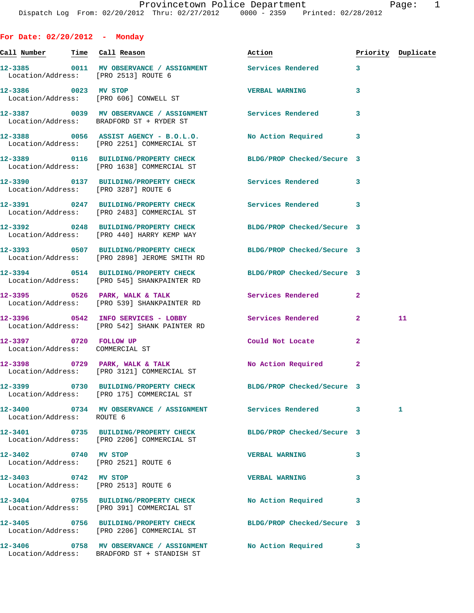**For Date: 02/20/2012 - Monday Call Number Time Call Reason Action Priority Duplicate 12-3385 0011 MV OBSERVANCE / ASSIGNMENT Services Rendered 3**  Location/Address: [PRO 2513] ROUTE 6 **12-3386 0023 MV STOP VERBAL WARNING 3**  Location/Address: [PRO 606] CONWELL ST **12-3387 0039 MV OBSERVANCE / ASSIGNMENT Services Rendered 3**  Location/Address: BRADFORD ST + RYDER ST **12-3388 0056 ASSIST AGENCY - B.O.L.O. No Action Required 3**  Location/Address: [PRO 2251] COMMERCIAL ST **12-3389 0116 BUILDING/PROPERTY CHECK BLDG/PROP Checked/Secure 3**  Location/Address: [PRO 1638] COMMERCIAL ST **12-3390 0137 BUILDING/PROPERTY CHECK Services Rendered 3**  Location/Address: [PRO 3287] ROUTE 6 **12-3391 0247 BUILDING/PROPERTY CHECK Services Rendered 3**  Location/Address: [PRO 2483] COMMERCIAL ST **12-3392 0248 BUILDING/PROPERTY CHECK BLDG/PROP Checked/Secure 3**  Location/Address: [PRO 440] HARRY KEMP WAY **12-3393 0507 BUILDING/PROPERTY CHECK BLDG/PROP Checked/Secure 3**  Location/Address: [PRO 2898] JEROME SMITH RD **12-3394 0514 BUILDING/PROPERTY CHECK BLDG/PROP Checked/Secure 3**  Location/Address: [PRO 545] SHANKPAINTER RD **12-3395 0526 PARK, WALK & TALK Services Rendered 2**  Location/Address: [PRO 539] SHANKPAINTER RD **12-3396 0542 INFO SERVICES - LOBBY Services Rendered 2 11**  Location/Address: [PRO 542] SHANK PAINTER RD **12-3397 0720 FOLLOW UP Could Not Locate 2**  Location/Address: COMMERCIAL ST **12-3398 0729 PARK, WALK & TALK No Action Required 2**  Location/Address: [PRO 3121] COMMERCIAL ST **12-3399 0730 BUILDING/PROPERTY CHECK BLDG/PROP Checked/Secure 3**  Location/Address: [PRO 175] COMMERCIAL ST **12-3400 0734 MV OBSERVANCE / ASSIGNMENT Services Rendered 3 1**  Location/Address: ROUTE 6 **12-3401 0735 BUILDING/PROPERTY CHECK BLDG/PROP Checked/Secure 3**  Location/Address: [PRO 2206] COMMERCIAL ST **12-3402 0740 MV STOP VERBAL WARNING 3**  Location/Address: [PRO 2521] ROUTE 6 **12-3403 0742 MV STOP VERBAL WARNING 3**  Location/Address: [PRO 2513] ROUTE 6 **12-3404 0755 BUILDING/PROPERTY CHECK No Action Required 3**  Location/Address: [PRO 391] COMMERCIAL ST **12-3405 0756 BUILDING/PROPERTY CHECK BLDG/PROP Checked/Secure 3**  Location/Address: [PRO 2206] COMMERCIAL ST **12-3406 0758 MV OBSERVANCE / ASSIGNMENT No Action Required 3**  Location/Address: BRADFORD ST + STANDISH ST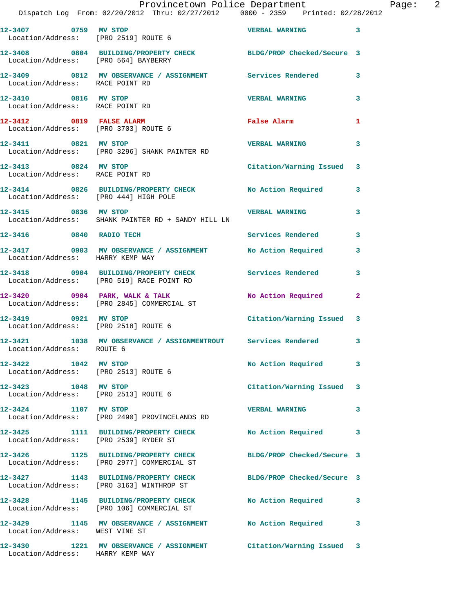|                                                              | Provincetown Police Department<br>Dispatch Log From: 02/20/2012 Thru: 02/27/2012 0000 - 2359 Printed: 02/28/2012 |                           | Page: 2      |
|--------------------------------------------------------------|------------------------------------------------------------------------------------------------------------------|---------------------------|--------------|
|                                                              | 12-3407 0759 MV STOP<br>Location/Address: [PRO 2519] ROUTE 6                                                     | <b>VERBAL WARNING</b> 3   |              |
|                                                              | 12-3408 0804 BUILDING/PROPERTY CHECK BLDG/PROP Checked/Secure 3<br>Location/Address: [PRO 564] BAYBERRY          |                           |              |
| Location/Address: RACE POINT RD                              | 12-3409 0812 MV OBSERVANCE / ASSIGNMENT Services Rendered 3                                                      |                           |              |
| 12-3410 0816 MV STOP                                         | Location/Address: RACE POINT RD                                                                                  | <b>VERBAL WARNING</b> 3   |              |
| Location/Address: [PRO 3703] ROUTE 6                         | 12-3412 0819 FALSE ALARM                                                                                         | False Alarm               | $\mathbf{1}$ |
| 12-3411 0821 MV STOP                                         | Location/Address: [PRO 3296] SHANK PAINTER RD                                                                    | <b>VERBAL WARNING 3</b>   |              |
| 12-3413 0824 MV STOP<br>Location/Address: RACE POINT RD      |                                                                                                                  | Citation/Warning Issued 3 |              |
|                                                              | 12-3414 0826 BUILDING/PROPERTY CHECK No Action Required 3<br>Location/Address: [PRO 444] HIGH POLE               |                           |              |
|                                                              | 12-3415 0836 MV STOP VERBAL WARNING<br>Location/Address: SHANK PAINTER RD + SANDY HILL LN                        |                           |              |
|                                                              | 12-3416 0840 RADIO TECH                                                                                          | Services Rendered 3       |              |
| Location/Address: HARRY KEMP WAY                             | 12-3417 0903 MV OBSERVANCE / ASSIGNMENT No Action Required 3                                                     |                           |              |
|                                                              | 12-3418 0904 BUILDING/PROPERTY CHECK Services Rendered 3<br>Location/Address: [PRO 519] RACE POINT RD            |                           |              |
|                                                              | 12-3420 0904 PARK, WALK & TALK NO Action Required 2<br>Location/Address: [PRO 2845] COMMERCIAL ST                |                           |              |
| 12-3419 0921 MV STOP                                         | Location/Address: [PRO 2518] ROUTE 6                                                                             | Citation/Warning Issued 3 |              |
| Location/Address: ROUTE 6                                    | 12-3421 1038 MV OBSERVANCE / ASSIGNMENTROUT Services Rendered                                                    |                           | $\mathbf{3}$ |
| 12-3422 1042 MV STOP                                         | Location/Address: [PRO 2513] ROUTE 6                                                                             | No Action Required 3      |              |
| 12-3423 1048 MV STOP<br>Location/Address: [PRO 2513] ROUTE 6 |                                                                                                                  | Citation/Warning Issued 3 |              |
| 12-3424 1107 MV STOP                                         | Location/Address: [PRO 2490] PROVINCELANDS RD                                                                    | VERBAL WARNING 3          |              |
| Location/Address: [PRO 2539] RYDER ST                        | 12-3425 1111 BUILDING/PROPERTY CHECK No Action Required 3                                                        |                           |              |
|                                                              | 12-3426 1125 BUILDING/PROPERTY CHECK BLDG/PROP Checked/Secure 3<br>Location/Address: [PRO 2977] COMMERCIAL ST    |                           |              |
|                                                              | 12-3427 1143 BUILDING/PROPERTY CHECK BLDG/PROP Checked/Secure 3<br>Location/Address: [PRO 3163] WINTHROP ST      |                           |              |
|                                                              | 12-3428 1145 BUILDING/PROPERTY CHECK No Action Required 3<br>Location/Address: [PRO 106] COMMERCIAL ST           |                           |              |
| Location/Address: WEST VINE ST                               | 12-3429 1145 MV OBSERVANCE / ASSIGNMENT No Action Required                                                       |                           | 3            |
| Location/Address: HARRY KEMP WAY                             | 12-3430 1221 MV OBSERVANCE / ASSIGNMENT Citation/Warning Issued 3                                                |                           |              |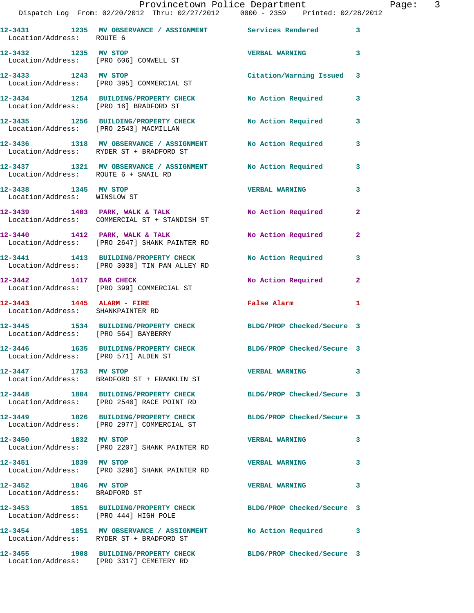## Provincetown Police Department Fage: 3

| Location/Address: ROUTE 6                                      | 12-3431 1235 MV OBSERVANCE / ASSIGNMENT Services Rendered                                              |                            | 3              |
|----------------------------------------------------------------|--------------------------------------------------------------------------------------------------------|----------------------------|----------------|
| 12-3432 1235 MV STOP                                           | Location/Address: [PRO 606] CONWELL ST                                                                 | <b>VERBAL WARNING</b>      | 3              |
| 12-3433 1243 MV STOP                                           | Location/Address: [PRO 395] COMMERCIAL ST                                                              | Citation/Warning Issued 3  |                |
| Location/Address: [PRO 16] BRADFORD ST                         | 12-3434 1254 BUILDING/PROPERTY CHECK                                                                   | <b>No Action Required</b>  | 3              |
| Location/Address: [PRO 2543] MACMILLAN                         | 12-3435 1256 BUILDING/PROPERTY CHECK                                                                   | No Action Required         | 3              |
|                                                                | 12-3436 1318 MV OBSERVANCE / ASSIGNMENT<br>Location/Address: RYDER ST + BRADFORD ST                    | No Action Required         | 3              |
| Location/Address: ROUTE 6 + SNAIL RD                           | 12-3437 1321 MV OBSERVANCE / ASSIGNMENT                                                                | No Action Required         | 3              |
| 12-3438 1345 MV STOP<br>Location/Address: WINSLOW ST           |                                                                                                        | <b>VERBAL WARNING</b>      | 3              |
|                                                                | 12-3439 1403 PARK, WALK & TALK<br>Location/Address: COMMERCIAL ST + STANDISH ST                        | No Action Required         | $\mathbf{2}$   |
|                                                                | $12-3440$ 1412 PARK, WALK & TALK<br>Location/Address: [PRO 2647] SHANK PAINTER RD                      | No Action Required         | $\mathbf{2}$   |
|                                                                | 12-3441 1413 BUILDING/PROPERTY CHECK<br>Location/Address: [PRO 3030] TIN PAN ALLEY RD                  | No Action Required         | 3              |
| 12-3442 1417 BAR CHECK                                         | Location/Address: [PRO 399] COMMERCIAL ST                                                              | No Action Required         | $\overline{2}$ |
| 12-3443 1445 ALARM - FIRE<br>Location/Address: SHANKPAINTER RD |                                                                                                        | <b>False Alarm</b>         | 1              |
| Location/Address: [PRO 564] BAYBERRY                           | 12-3445 1534 BUILDING/PROPERTY CHECK                                                                   | BLDG/PROP Checked/Secure 3 |                |
| Location/Address: [PRO 571] ALDEN ST                           | 12-3446 1635 BUILDING/PROPERTY CHECK BLDG/PROP Checked/Secure 3                                        |                            |                |
| 12-3447 1753 MV STOP                                           | Location/Address: BRADFORD ST + FRANKLIN ST                                                            | <b>VERBAL WARNING</b>      | 3              |
|                                                                | 12-3448 1804 BUILDING/PROPERTY CHECK<br>Location/Address: [PRO 2540] RACE POINT RD                     | BLDG/PROP Checked/Secure 3 |                |
|                                                                | 12-3449 1826 BUILDING/PROPERTY CHECK<br>Location/Address: [PRO 2977] COMMERCIAL ST                     | BLDG/PROP Checked/Secure 3 |                |
|                                                                | 12-3450 1832 MV STOP<br>Location/Address: [PRO 2207] SHANK PAINTER RD                                  | <b>VERBAL WARNING</b>      | 3              |
| 12-3451 1839 MV STOP                                           | Location/Address: [PRO 3296] SHANK PAINTER RD                                                          | <b>VERBAL WARNING</b>      | 3              |
| 12-3452 1846 MV STOP<br>Location/Address: BRADFORD ST          |                                                                                                        | <b>VERBAL WARNING</b>      | 3              |
| Location/Address: [PRO 444] HIGH POLE                          | 12-3453 1851 BUILDING/PROPERTY CHECK                                                                   | BLDG/PROP Checked/Secure 3 |                |
|                                                                | 12-3454 1851 MV OBSERVANCE / ASSIGNMENT No Action Required<br>Location/Address: RYDER ST + BRADFORD ST |                            | 3              |
|                                                                | 12-3455 1908 BUILDING/PROPERTY CHECK<br>Location/Address: [PRO 3317] CEMETERY RD                       | BLDG/PROP Checked/Secure 3 |                |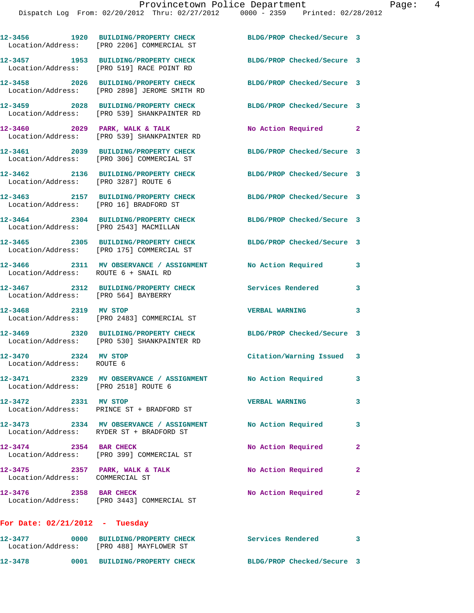|                                                                     | 12-3456 1920 BUILDING/PROPERTY CHECK<br>Location/Address: [PRO 2206] COMMERCIAL ST                           | BLDG/PROP Checked/Secure 3 |              |
|---------------------------------------------------------------------|--------------------------------------------------------------------------------------------------------------|----------------------------|--------------|
|                                                                     | 12-3457 1953 BUILDING/PROPERTY CHECK<br>Location/Address: [PRO 519] RACE POINT RD                            | BLDG/PROP Checked/Secure 3 |              |
|                                                                     | 12-3458 2026 BUILDING/PROPERTY CHECK<br>Location/Address: [PRO 2898] JEROME SMITH RD                         | BLDG/PROP Checked/Secure 3 |              |
|                                                                     | 12-3459 2028 BUILDING/PROPERTY CHECK<br>Location/Address: [PRO 539] SHANKPAINTER RD                          | BLDG/PROP Checked/Secure 3 |              |
|                                                                     | $12-3460$ 2029 PARK, WALK & TALK<br>Location/Address: [PRO 539] SHANKPAINTER RD                              | No Action Required         | $\mathbf{2}$ |
|                                                                     | 12-3461 2039 BUILDING/PROPERTY CHECK BLDG/PROP Checked/Secure 3<br>Location/Address: [PRO 306] COMMERCIAL ST |                            |              |
| Location/Address: [PRO 3287] ROUTE 6                                | 12-3462 2136 BUILDING/PROPERTY CHECK                                                                         | BLDG/PROP Checked/Secure 3 |              |
| Location/Address: [PRO 16] BRADFORD ST                              | 12-3463 2157 BUILDING/PROPERTY CHECK                                                                         | BLDG/PROP Checked/Secure 3 |              |
| Location/Address: [PRO 2543] MACMILLAN                              | 12-3464 2304 BUILDING/PROPERTY CHECK                                                                         | BLDG/PROP Checked/Secure 3 |              |
|                                                                     | 12-3465 2305 BUILDING/PROPERTY CHECK<br>Location/Address: [PRO 175] COMMERCIAL ST                            | BLDG/PROP Checked/Secure 3 |              |
| Location/Address: ROUTE 6 + SNAIL RD                                | 12-3466 2311 MV OBSERVANCE / ASSIGNMENT                                                                      | No Action Required         | 3            |
| Location/Address: [PRO 564] BAYBERRY                                | 12-3467 2312 BUILDING/PROPERTY CHECK                                                                         | Services Rendered          | 3            |
| 12-3468 2319 MV STOP                                                | Location/Address: [PRO 2483] COMMERCIAL ST                                                                   | <b>VERBAL WARNING</b>      | 3            |
|                                                                     | 12-3469 2320 BUILDING/PROPERTY CHECK<br>Location/Address: [PRO 530] SHANKPAINTER RD                          | BLDG/PROP Checked/Secure 3 |              |
| 12-3470 2324 MV STOP<br>Location/Address: ROUTE 6                   |                                                                                                              | Citation/Warning Issued 3  |              |
| Location/Address: [PRO 2518] ROUTE 6                                | 12-3471 2329 MV OBSERVANCE / ASSIGNMENT                                                                      | No Action Required         | 3            |
| 12-3472 2331 MV STOP                                                | Location/Address: PRINCE ST + BRADFORD ST                                                                    | <b>VERBAL WARNING</b>      | 3            |
|                                                                     | 12-3473 2334 MV OBSERVANCE / ASSIGNMENT No Action Required<br>Location/Address: RYDER ST + BRADFORD ST       |                            | 3            |
| 12-3474 2354 BAR CHECK                                              | Location/Address: [PRO 399] COMMERCIAL ST                                                                    | No Action Required         | $\mathbf{2}$ |
| $12-3475$ 2357 PARK, WALK & TALK<br>Location/Address: COMMERCIAL ST |                                                                                                              | No Action Required         | $\mathbf{2}$ |
| 12-3476 2358 BAR CHECK                                              | Location/Address: [PRO 3443] COMMERCIAL ST                                                                   | <b>No Action Required</b>  | $\mathbf{2}$ |
| For Date: $02/21/2012$ - Tuesday                                    |                                                                                                              |                            |              |
|                                                                     |                                                                                                              | Services Rendered 3        |              |

**12-3478 0001 BUILDING/PROPERTY CHECK BLDG/PROP Checked/Secure 3** 

Location/Address: [PRO 488] MAYFLOWER ST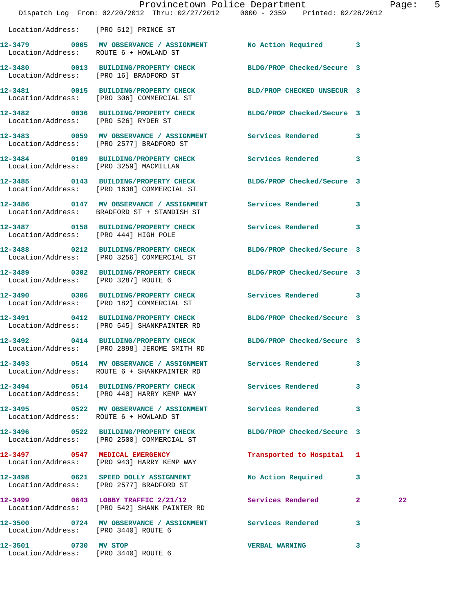|                      |                                                                                                                | Provincetown Police Department<br>Dispatch Log From: 02/20/2012 Thru: 02/27/2012 0000 - 2359 Printed: 02/28/2012 | Page: 5 |
|----------------------|----------------------------------------------------------------------------------------------------------------|------------------------------------------------------------------------------------------------------------------|---------|
|                      |                                                                                                                |                                                                                                                  |         |
|                      | Location/Address: [PRO 512] PRINCE ST                                                                          |                                                                                                                  |         |
|                      | 12-3479 0005 MV OBSERVANCE / ASSIGNMENT No Action Required 3<br>Location/Address: ROUTE 6 + HOWLAND ST         |                                                                                                                  |         |
|                      | 12-3480 0013 BUILDING/PROPERTY CHECK BLDG/PROP Checked/Secure 3<br>Location/Address: [PRO 16] BRADFORD ST      |                                                                                                                  |         |
|                      | 12-3481 0015 BUILDING/PROPERTY CHECK BLD/PROP CHECKED UNSECUR 3<br>Location/Address: [PRO 306] COMMERCIAL ST   |                                                                                                                  |         |
|                      | 12-3482 0036 BUILDING/PROPERTY CHECK BLDG/PROP Checked/Secure 3<br>Location/Address: [PRO 526] RYDER ST        |                                                                                                                  |         |
|                      | 12-3483 0059 MV OBSERVANCE / ASSIGNMENT Services Rendered 3<br>Location/Address: [PRO 2577] BRADFORD ST        |                                                                                                                  |         |
|                      | 12-3484 0109 BUILDING/PROPERTY CHECK Services Rendered 3<br>Location/Address: [PRO 3259] MACMILLAN             |                                                                                                                  |         |
|                      | 12-3485 0143 BUILDING/PROPERTY CHECK BLDG/PROP Checked/Secure 3<br>Location/Address: [PRO 1638] COMMERCIAL ST  |                                                                                                                  |         |
|                      | 12-3486 0147 MV OBSERVANCE / ASSIGNMENT Services Rendered 3<br>Location/Address: BRADFORD ST + STANDISH ST     |                                                                                                                  |         |
|                      | 12-3487 0158 BUILDING/PROPERTY CHECK Services Rendered 3<br>Location/Address: [PRO 444] HIGH POLE              |                                                                                                                  |         |
|                      | 12-3488 0212 BUILDING/PROPERTY CHECK<br>Location/Address: [PRO 3256] COMMERCIAL ST                             | BLDG/PROP Checked/Secure 3                                                                                       |         |
|                      | 12-3489 0302 BUILDING/PROPERTY CHECK BLDG/PROP Checked/Secure 3<br>Location/Address: [PRO 3287] ROUTE 6        |                                                                                                                  |         |
|                      | 12-3490 0306 BUILDING/PROPERTY CHECK Services Rendered 3<br>Location/Address: [PRO 182] COMMERCIAL ST          |                                                                                                                  |         |
|                      | 12-3491 0412 BUILDING/PROPERTY CHECK BLDG/PROP Checked/Secure 3<br>Location/Address: [PRO 545] SHANKPAINTER RD |                                                                                                                  |         |
| 12-3492              | 0414 BUILDING/PROPERTY CHECK<br>Location/Address: [PRO 2898] JEROME SMITH RD                                   | BLDG/PROP Checked/Secure 3                                                                                       |         |
|                      | 12-3493 0514 MV OBSERVANCE / ASSIGNMENT Services Rendered<br>Location/Address: ROUTE 6 + SHANKPAINTER RD       | 3                                                                                                                |         |
|                      | 12-3494 0514 BUILDING/PROPERTY CHECK Services Rendered<br>Location/Address: [PRO 440] HARRY KEMP WAY           | $\mathbf{3}$                                                                                                     |         |
|                      | 12-3495 0522 MV OBSERVANCE / ASSIGNMENT Services Rendered 3<br>Location/Address: ROUTE 6 + HOWLAND ST          |                                                                                                                  |         |
|                      | 12-3496 0522 BUILDING/PROPERTY CHECK BLDG/PROP Checked/Secure 3<br>Location/Address: [PRO 2500] COMMERCIAL ST  |                                                                                                                  |         |
|                      | 12-3497 0547 MEDICAL EMERGENCY<br>Location/Address: [PRO 943] HARRY KEMP WAY                                   | Transported to Hospital 1                                                                                        |         |
|                      | 12-3498 0621 SPEED DOLLY ASSIGNMENT<br>Location/Address: [PRO 2577] BRADFORD ST                                | No Action Required 3                                                                                             |         |
|                      | Location/Address: [PRO 542] SHANK PAINTER RD                                                                   | 12-3499 0643 LOBBY TRAFFIC 2/21/12 Services Rendered 2                                                           | 22      |
|                      | 12-3500 0724 MV OBSERVANCE / ASSIGNMENT Services Rendered<br>Location/Address: [PRO 3440] ROUTE 6              | $\overline{\mathbf{3}}$                                                                                          |         |
| 12-3501 0730 MV STOP |                                                                                                                | VERBAL WARNING 3                                                                                                 |         |

Location/Address: [PRO 3440] ROUTE 6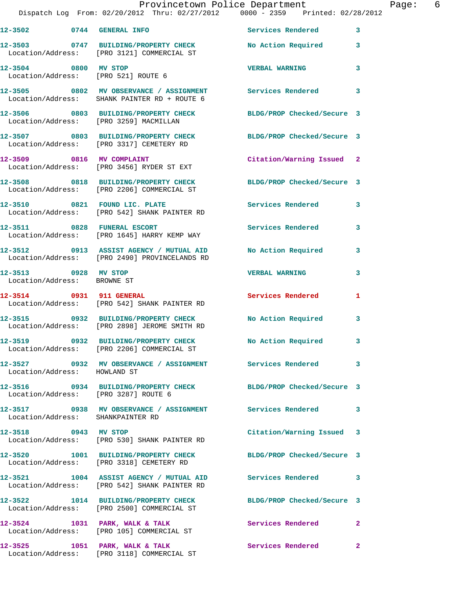|                                                             | Dispatch Log From: 02/20/2012 Thru: 02/27/2012 0000 - 2359 Printed: 02/28/2012                                | Provincetown Police Department | Page: 6      |
|-------------------------------------------------------------|---------------------------------------------------------------------------------------------------------------|--------------------------------|--------------|
|                                                             | 12-3502 0744 GENERAL INFO Services Rendered 3                                                                 |                                |              |
|                                                             | 12-3503 0747 BUILDING/PROPERTY CHECK No Action Required 3<br>Location/Address: [PRO 3121] COMMERCIAL ST       |                                |              |
| 12-3504 0800 MV STOP<br>Location/Address: [PRO 521] ROUTE 6 |                                                                                                               | <b>VERBAL WARNING</b>          | 3            |
|                                                             | 12-3505 0802 MV OBSERVANCE / ASSIGNMENT Services Rendered 3<br>Location/Address: SHANK PAINTER RD + ROUTE 6   |                                |              |
|                                                             | 12-3506 0803 BUILDING/PROPERTY CHECK BLDG/PROP Checked/Secure 3<br>Location/Address: [PRO 3259] MACMILLAN     |                                |              |
|                                                             | 12-3507 0803 BUILDING/PROPERTY CHECK BLDG/PROP Checked/Secure 3<br>Location/Address: [PRO 3317] CEMETERY RD   |                                |              |
|                                                             | 12-3509 0816 MV COMPLAINT<br>Location/Address: [PRO 3456] RYDER ST EXT                                        | Citation/Warning Issued 2      |              |
|                                                             | 12-3508 0818 BUILDING/PROPERTY CHECK BLDG/PROP Checked/Secure 3<br>Location/Address: [PRO 2206] COMMERCIAL ST |                                |              |
|                                                             | 12-3510 0821 FOUND LIC. PLATE<br>Location/Address: [PRO 542] SHANK PAINTER RD                                 | Services Rendered 3            |              |
|                                                             | 12-3511 0828 FUNERAL ESCORT<br>Location/Address: [PRO 1645] HARRY KEMP WAY                                    | Services Rendered              | $\mathbf{3}$ |
|                                                             | 12-3512 0913 ASSIST AGENCY / MUTUAL AID No Action Required 3<br>Location/Address: [PRO 2490] PROVINCELANDS RD |                                |              |
| 12-3513 0928 MV STOP<br>Location/Address: BROWNE ST         |                                                                                                               | <b>VERBAL WARNING</b>          | 3            |
| 12-3514 0931 911 GENERAL                                    | Location/Address: [PRO 542] SHANK PAINTER RD                                                                  | Services Rendered 1            |              |
|                                                             | 12-3515 0932 BUILDING/PROPERTY CHECK<br>Location/Address: [PRO 2898] JEROME SMITH RD                          | No Action Required             | $\mathbf{3}$ |
|                                                             | 12-3519 0932 BUILDING/PROPERTY CHECK No Action Required 3<br>Location/Address: [PRO 2206] COMMERCIAL ST       |                                |              |
| Location/Address: HOWLAND ST                                | 12-3527 0932 MV OBSERVANCE / ASSIGNMENT Services Rendered 3                                                   |                                |              |
|                                                             | 12-3516 0934 BUILDING/PROPERTY CHECK BLDG/PROP Checked/Secure 3<br>Location/Address: [PRO 3287] ROUTE 6       |                                |              |
| Location/Address: SHANKPAINTER RD                           | 12-3517 0938 MV OBSERVANCE / ASSIGNMENT Services Rendered 3                                                   |                                |              |
| 12-3518 0943 MV STOP                                        | Location/Address: [PRO 530] SHANK PAINTER RD                                                                  | Citation/Warning Issued 3      |              |
|                                                             | 12-3520 1001 BUILDING/PROPERTY CHECK BLDG/PROP Checked/Secure 3<br>Location/Address: [PRO 3318] CEMETERY RD   |                                |              |
|                                                             | 12-3521 1004 ASSIST AGENCY / MUTUAL AID Services Rendered 3<br>Location/Address: [PRO 542] SHANK PAINTER RD   |                                |              |
|                                                             | 12-3522 1014 BUILDING/PROPERTY CHECK BLDG/PROP Checked/Secure 3<br>Location/Address: [PRO 2500] COMMERCIAL ST |                                |              |
|                                                             | 12-3524 1031 PARK, WALK & TALK Services Rendered 2<br>Location/Address: [PRO 105] COMMERCIAL ST               |                                |              |
|                                                             | 12-3525 1051 PARK, WALK & TALK<br>Location/Address: [PRO 3118] COMMERCIAL ST                                  | Services Rendered              | $\mathbf{2}$ |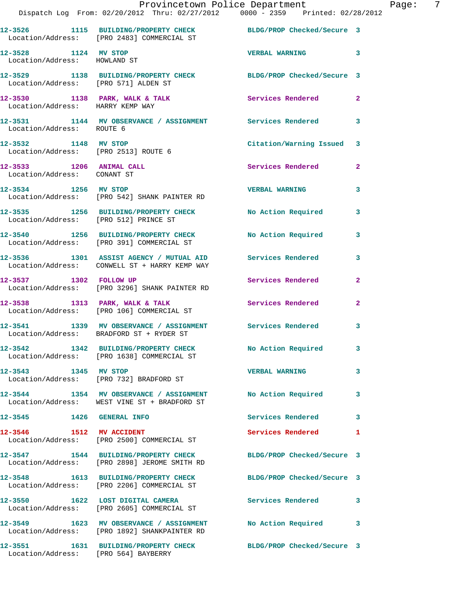|                                                              | Provincetown Police Department<br>Dispatch Log From: 02/20/2012 Thru: 02/27/2012 0000 - 2359 Printed: 02/28/2012 |                            |                |
|--------------------------------------------------------------|------------------------------------------------------------------------------------------------------------------|----------------------------|----------------|
|                                                              | 12-3526 1115 BUILDING/PROPERTY CHECK BLDG/PROP Checked/Secure 3<br>Location/Address: [PRO 2483] COMMERCIAL ST    |                            |                |
| 12-3528 1124 MV STOP<br>Location/Address: HOWLAND ST         |                                                                                                                  | <b>VERBAL WARNING</b>      | 3              |
|                                                              | 12-3529 1138 BUILDING/PROPERTY CHECK BLDG/PROP Checked/Secure 3<br>Location/Address: [PRO 571] ALDEN ST          |                            |                |
| Location/Address: HARRY KEMP WAY                             | 12-3530 1138 PARK, WALK & TALK 1988 Services Rendered                                                            |                            | $\mathbf{2}$   |
|                                                              |                                                                                                                  |                            | 3              |
| 12-3532 1148 MV STOP<br>Location/Address: [PRO 2513] ROUTE 6 |                                                                                                                  | Citation/Warning Issued    | 3              |
| 12-3533 1206 ANIMAL CALL<br>Location/Address: CONANT ST      |                                                                                                                  | Services Rendered          | $\overline{2}$ |
| 12-3534 1256 MV STOP                                         | Location/Address: [PRO 542] SHANK PAINTER RD                                                                     | <b>VERBAL WARNING</b>      | 3              |
| Location/Address: [PRO 512] PRINCE ST                        | 12-3535 1256 BUILDING/PROPERTY CHECK                                                                             | No Action Required         | 3              |
|                                                              | 12-3540 1256 BUILDING/PROPERTY CHECK No Action Required<br>Location/Address: [PRO 391] COMMERCIAL ST             |                            | 3              |
|                                                              | 12-3536 1301 ASSIST AGENCY / MUTUAL AID Services Rendered<br>Location/Address: CONWELL ST + HARRY KEMP WAY       |                            | 3              |
|                                                              | 12-3537 1302 FOLLOW UP<br>Location/Address: [PRO 3296] SHANK PAINTER RD                                          | Services Rendered          | $\mathbf{2}$   |
|                                                              | 12-3538 1313 PARK, WALK & TALK 1988 Services Rendered<br>Location/Address: [PRO 106] COMMERCIAL ST               |                            | $\mathbf{2}$   |
|                                                              | 12-3541 1339 MV OBSERVANCE / ASSIGNMENT Services Rendered<br>Location/Address: BRADFORD ST + RYDER ST            |                            | 3              |
|                                                              | 12-3542 1342 BUILDING/PROPERTY CHECK<br>Location/Address: [PRO 1638] COMMERCIAL ST                               | No Action Required         | $\mathbf{3}$   |
| 12-3543 1345 MV STOP                                         | Location/Address: [PRO 732] BRADFORD ST                                                                          | <b>VERBAL WARNING</b>      | 3              |
|                                                              | 12-3544 1354 MV OBSERVANCE / ASSIGNMENT No Action Required<br>Location/Address: WEST VINE ST + BRADFORD ST       |                            | 3              |
| 12-3545 1426 GENERAL INFO                                    |                                                                                                                  | Services Rendered          | 3              |
|                                                              | 12-3546 1512 MV ACCIDENT<br>Location/Address: [PRO 2500] COMMERCIAL ST                                           | Services Rendered          | 1              |
|                                                              | 12-3547 1544 BUILDING/PROPERTY CHECK<br>Location/Address: [PRO 2898] JEROME SMITH RD                             | BLDG/PROP Checked/Secure 3 |                |
|                                                              | 12-3548 1613 BUILDING/PROPERTY CHECK<br>Location/Address: [PRO 2206] COMMERCIAL ST                               | BLDG/PROP Checked/Secure 3 |                |
|                                                              | 12-3550 1622 LOST DIGITAL CAMERA<br>Location/Address: [PRO 2605] COMMERCIAL ST                                   | Services Rendered          | 3              |
|                                                              | 12-3549 1623 MV OBSERVANCE / ASSIGNMENT<br>Location/Address: [PRO 1892] SHANKPAINTER RD                          | No Action Required         | 3              |
| Location/Address: [PRO 564] BAYBERRY                         | 12-3551 1631 BUILDING/PROPERTY CHECK                                                                             | BLDG/PROP Checked/Secure 3 |                |

Page: 7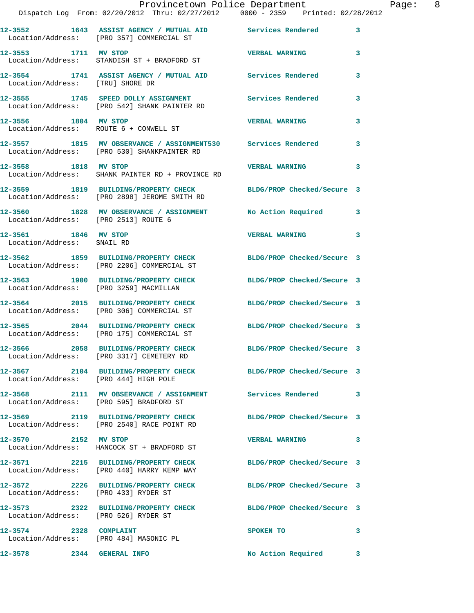|                                                    | Provincetown Police Department<br>Dispatch Log From: 02/20/2012 Thru: 02/27/2012 0000 - 2359 Printed: 02/28/2012 |                            |   |
|----------------------------------------------------|------------------------------------------------------------------------------------------------------------------|----------------------------|---|
|                                                    | 12-3552 1643 ASSIST AGENCY / MUTUAL AID Services Rendered<br>Location/Address: [PRO 357] COMMERCIAL ST           |                            | 3 |
| 12-3553 1711 MV STOP                               | Location/Address: STANDISH ST + BRADFORD ST                                                                      | <b>VERBAL WARNING</b>      | 3 |
|                                                    |                                                                                                                  |                            | 3 |
|                                                    | 12-3555 1745 SPEED DOLLY ASSIGNMENT<br>Location/Address: [PRO 542] SHANK PAINTER RD                              | Services Rendered          | 3 |
| 12-3556 1804 MV STOP                               | Location/Address: ROUTE 6 + CONWELL ST                                                                           | <b>VERBAL WARNING</b>      | 3 |
|                                                    | 12-3557 1815 MV OBSERVANCE / ASSIGNMENT530 Services Rendered<br>Location/Address: [PRO 530] SHANKPAINTER RD      |                            | 3 |
| 12-3558 1818 MV STOP                               | Location/Address: SHANK PAINTER RD + PROVINCE RD                                                                 | <b>VERBAL WARNING</b>      | 3 |
|                                                    | 12-3559 1819 BUILDING/PROPERTY CHECK BLDG/PROP Checked/Secure 3<br>Location/Address: [PRO 2898] JEROME SMITH RD  |                            |   |
| Location/Address: [PRO 2513] ROUTE 6               | 12-3560 1828 MV OBSERVANCE / ASSIGNMENT No Action Required                                                       |                            | 3 |
| 12-3561 1846 MV STOP<br>Location/Address: SNAIL RD |                                                                                                                  | <b>VERBAL WARNING</b>      | 3 |
|                                                    | 12-3562 1859 BUILDING/PROPERTY CHECK BLDG/PROP Checked/Secure 3<br>Location/Address: [PRO 2206] COMMERCIAL ST    |                            |   |
| Location/Address: [PRO 3259] MACMILLAN             | 12-3563 1900 BUILDING/PROPERTY CHECK                                                                             | BLDG/PROP Checked/Secure 3 |   |
|                                                    | 12-3564 2015 BUILDING/PROPERTY CHECK BLDG/PROP Checked/Secure 3<br>Location/Address: [PRO 306] COMMERCIAL ST     |                            |   |
|                                                    | 12-3565 2044 BUILDING/PROPERTY CHECK<br>Location/Address: [PRO 175] COMMERCIAL ST                                | BLDG/PROP Checked/Secure 3 |   |
|                                                    | 12-3566 2058 BUILDING/PROPERTY CHECK<br>Location/Address: [PRO 3317] CEMETERY RD                                 | BLDG/PROP Checked/Secure 3 |   |
| Location/Address: [PRO 444] HIGH POLE              | 12-3567 2104 BUILDING/PROPERTY CHECK BLDG/PROP Checked/Secure 3                                                  |                            |   |
|                                                    | 12-3568 2111 MV OBSERVANCE / ASSIGNMENT Services Rendered<br>Location/Address: [PRO 595] BRADFORD ST             |                            | 3 |
|                                                    | 12-3569 2119 BUILDING/PROPERTY CHECK BLDG/PROP Checked/Secure 3<br>Location/Address: [PRO 2540] RACE POINT RD    |                            |   |
| 12-3570 2152 MV STOP                               | Location/Address: HANCOCK ST + BRADFORD ST                                                                       | <b>VERBAL WARNING</b>      | 3 |
|                                                    | 12-3571 2215 BUILDING/PROPERTY CHECK BLDG/PROP Checked/Secure 3<br>Location/Address: [PRO 440] HARRY KEMP WAY    |                            |   |
| Location/Address: [PRO 433] RYDER ST               | 12-3572 2226 BUILDING/PROPERTY CHECK BLDG/PROP Checked/Secure 3                                                  |                            |   |
| Location/Address: [PRO 526] RYDER ST               | 12-3573 2322 BUILDING/PROPERTY CHECK BLDG/PROP Checked/Secure 3                                                  |                            |   |
| 12-3574 2328 COMPLAINT                             | Location/Address: [PRO 484] MASONIC PL                                                                           | SPOKEN TO                  | 3 |
| <b>12-3578 2344 GENERAL INFO</b>                   |                                                                                                                  | No Action Required         | 3 |

Page:  $8$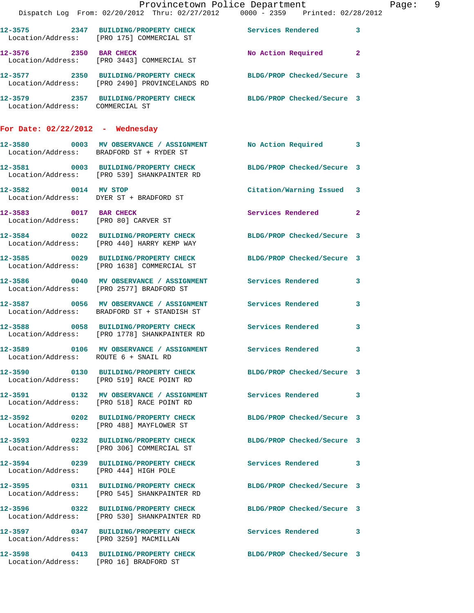|                                       | Dispatch Log From: 02/20/2012 Thru: 02/27/2012 0000 - 2359 Printed: 02/28/2012                                      | Provincetown Police Department | Page: 9 |
|---------------------------------------|---------------------------------------------------------------------------------------------------------------------|--------------------------------|---------|
|                                       | 12-3575 2347 BUILDING/PROPERTY CHECK Services Rendered 3<br>Location/Address: [PRO 175] COMMERCIAL ST               |                                |         |
|                                       | 12-3576 2350 BAR CHECK<br>Location/Address: [PRO 3443] COMMERCIAL ST                                                | No Action Required 2           |         |
|                                       | 12-3577  2350  BUILDING/PROPERTY CHECK  BLDG/PROP Checked/Secure 3<br>Location/Address: [PRO 2490] PROVINCELANDS RD |                                |         |
| Location/Address: COMMERCIAL ST       | 12-3579 2357 BUILDING/PROPERTY CHECK BLDG/PROP Checked/Secure 3                                                     |                                |         |
| For Date: $02/22/2012$ - Wednesday    |                                                                                                                     |                                |         |
|                                       | 12-3580 0003 MV OBSERVANCE / ASSIGNMENT No Action Required 3<br>Location/Address: BRADFORD ST + RYDER ST            |                                |         |
|                                       | 12-3581 0003 BUILDING/PROPERTY CHECK BLDG/PROP Checked/Secure 3<br>Location/Address: [PRO 539] SHANKPAINTER RD      |                                |         |
|                                       | 12-3582 0014 MV STOP<br>Location/Address: DYER ST + BRADFORD ST                                                     | Citation/Warning Issued 3      |         |
| 12-3583 0017 BAR CHECK                | Location/Address: [PRO 80] CARVER ST                                                                                | Services Rendered 2            |         |
|                                       | 12-3584 0022 BUILDING/PROPERTY CHECK BLDG/PROP Checked/Secure 3<br>Location/Address: [PRO 440] HARRY KEMP WAY       |                                |         |
|                                       | 12-3585 0029 BUILDING/PROPERTY CHECK BLDG/PROP Checked/Secure 3<br>Location/Address: [PRO 1638] COMMERCIAL ST       |                                |         |
|                                       | 12-3586 0040 MV OBSERVANCE / ASSIGNMENT Services Rendered 3<br>Location/Address: [PRO 2577] BRADFORD ST             |                                |         |
|                                       | 12-3587 0056 MV OBSERVANCE / ASSIGNMENT Services Rendered 3<br>Location/Address: BRADFORD ST + STANDISH ST          |                                |         |
|                                       | 12-3588 0058 BUILDING/PROPERTY CHECK Services Rendered 3<br>Location/Address: [PRO 1778] SHANKPAINTER RD            |                                |         |
| Location/Address: ROUTE 6 + SNAIL RD  |                                                                                                                     |                                |         |
|                                       | 12-3590 0130 BUILDING/PROPERTY CHECK BLDG/PROP Checked/Secure 3<br>Location/Address: [PRO 519] RACE POINT RD        |                                |         |
|                                       | 12-3591 0132 MV OBSERVANCE / ASSIGNMENT Services Rendered 3<br>Location/Address: [PRO 518] RACE POINT RD            |                                |         |
|                                       | 12-3592 0202 BUILDING/PROPERTY CHECK BLDG/PROP Checked/Secure 3<br>Location/Address: [PRO 488] MAYFLOWER ST         |                                |         |
|                                       | 12-3593 0232 BUILDING/PROPERTY CHECK BLDG/PROP Checked/Secure 3<br>Location/Address: [PRO 306] COMMERCIAL ST        |                                |         |
| Location/Address: [PRO 444] HIGH POLE | 12-3594 0239 BUILDING/PROPERTY CHECK Services Rendered 3                                                            |                                |         |
|                                       | 12-3595 0311 BUILDING/PROPERTY CHECK BLDG/PROP Checked/Secure 3<br>Location/Address: [PRO 545] SHANKPAINTER RD      |                                |         |
|                                       | 12-3596 0322 BUILDING/PROPERTY CHECK BLDG/PROP Checked/Secure 3<br>Location/Address: [PRO 530] SHANKPAINTER RD      |                                |         |
|                                       | 12-3597 0347 BUILDING/PROPERTY CHECK Services Rendered 3<br>Location/Address: [PRO 3259] MACMILLAN                  |                                |         |
|                                       | 12-3598 0413 BUILDING/PROPERTY CHECK BLDG/PROP Checked/Secure 3<br>Location/Address: [PRO 16] BRADFORD ST           |                                |         |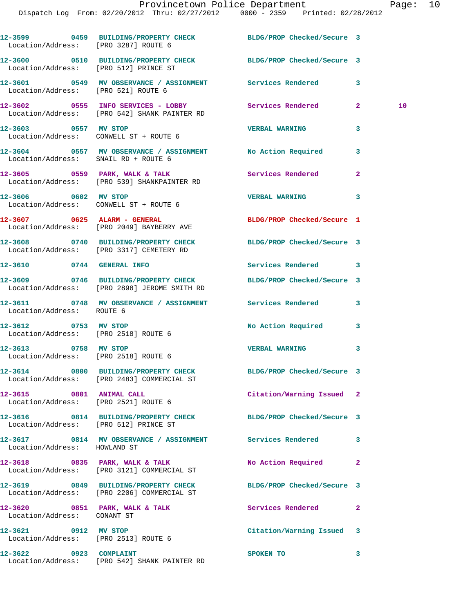| Location/Address: [PRO 3287] ROUTE 6                             | 12-3599 0459 BUILDING/PROPERTY CHECK BLDG/PROP Checked/Secure 3                                                 |                            |                |    |
|------------------------------------------------------------------|-----------------------------------------------------------------------------------------------------------------|----------------------------|----------------|----|
| Location/Address: [PRO 512] PRINCE ST                            | 12-3600 0510 BUILDING/PROPERTY CHECK BLDG/PROP Checked/Secure 3                                                 |                            |                |    |
| Location/Address: [PRO 521] ROUTE 6                              | 12-3601 0549 MV OBSERVANCE / ASSIGNMENT Services Rendered                                                       |                            | 3              |    |
|                                                                  | 12-3602 0555 INFO SERVICES - LOBBY Services Rendered<br>Location/Address: [PRO 542] SHANK PAINTER RD            |                            | $\mathbf{2}$   | 10 |
|                                                                  | 12-3603 0557 MV STOP<br>Location/Address: CONWELL ST + ROUTE 6                                                  | <b>VERBAL WARNING</b>      | 3              |    |
| Location/Address: SNAIL RD + ROUTE 6                             | 12-3604 0557 MV OBSERVANCE / ASSIGNMENT No Action Required                                                      |                            | 3              |    |
|                                                                  | $12-3605$ 0559 PARK, WALK & TALK<br>Location/Address: [PRO 539] SHANKPAINTER RD                                 | <b>Services Rendered</b>   | $\overline{a}$ |    |
| 12-3606 0602 MV STOP                                             | Location/Address: CONWELL ST + ROUTE 6                                                                          | <b>VERBAL WARNING</b>      | 3              |    |
|                                                                  | $12-3607$ 0625 ALARM - GENERAL<br>Location/Address: [PRO 2049] BAYBERRY AVE                                     | BLDG/PROP Checked/Secure 1 |                |    |
|                                                                  | 12-3608 0740 BUILDING/PROPERTY CHECK<br>Location/Address: [PRO 3317] CEMETERY RD                                | BLDG/PROP Checked/Secure 3 |                |    |
|                                                                  | 12-3610 0744 GENERAL INFO                                                                                       | Services Rendered 3        |                |    |
|                                                                  | 12-3609 0746 BUILDING/PROPERTY CHECK BLDG/PROP Checked/Secure 3<br>Location/Address: [PRO 2898] JEROME SMITH RD |                            |                |    |
| Location/Address: ROUTE 6                                        | 12-3611 0748 MV OBSERVANCE / ASSIGNMENT Services Rendered                                                       |                            | 3              |    |
| 12-3612 0753 MV STOP<br>Location/Address: [PRO 2518] ROUTE 6     |                                                                                                                 | No Action Required         | 3              |    |
| 12-3613 0758 MV STOP<br>Location/Address: [PRO 2518] ROUTE 6     |                                                                                                                 | VERBAL WARNING 3           |                |    |
|                                                                  | 12-3614 0800 BUILDING/PROPERTY CHECK BLDG/PROP Checked/Secure 3<br>Location/Address: [PRO 2483] COMMERCIAL ST   |                            |                |    |
| 12-3615 0801 ANIMAL CALL<br>Location/Address: [PRO 2521] ROUTE 6 |                                                                                                                 | Citation/Warning Issued 2  |                |    |
| Location/Address: [PRO 512] PRINCE ST                            | 12-3616 0814 BUILDING/PROPERTY CHECK BLDG/PROP Checked/Secure 3                                                 |                            |                |    |
|                                                                  |                                                                                                                 |                            | 3              |    |
|                                                                  | 12-3618 0835 PARK, WALK & TALK<br>Location/Address: [PRO 3121] COMMERCIAL ST                                    | No Action Required         | 2              |    |
|                                                                  | 12-3619 0849 BUILDING/PROPERTY CHECK<br>Location/Address: [PRO 2206] COMMERCIAL ST                              | BLDG/PROP Checked/Secure 3 |                |    |
| Location/Address: CONANT ST                                      | $12-3620$ 0851 PARK, WALK & TALK                                                                                | Services Rendered          | $\mathbf{2}$   |    |
| 12-3621 0912 MV STOP<br>Location/Address: [PRO 2513] ROUTE 6     |                                                                                                                 | Citation/Warning Issued 3  |                |    |
| 12-3622 0923 COMPLAINT                                           | Location/Address: [PRO 542] SHANK PAINTER RD                                                                    | SPOKEN TO                  | 3              |    |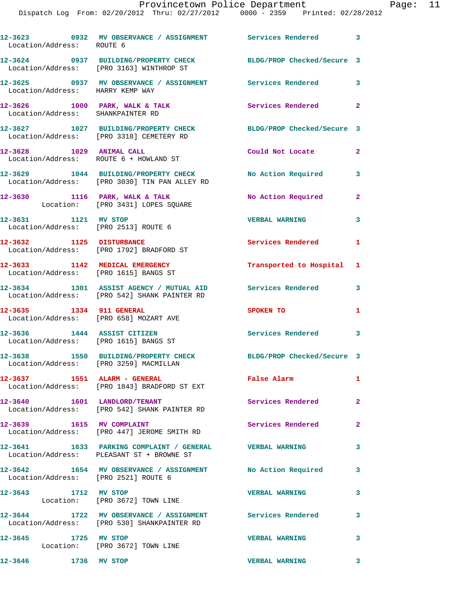|                                   | Dispatch Log From: 02/20/2012 Thru: 02/27/2012 0000 - 2359 Printed: 02/28/2012                              | Provincetown Police Department Page: 11 |                |  |
|-----------------------------------|-------------------------------------------------------------------------------------------------------------|-----------------------------------------|----------------|--|
| Location/Address: ROUTE 6         | 12-3623 0932 MV OBSERVANCE / ASSIGNMENT Services Rendered 3                                                 |                                         |                |  |
|                                   | 12-3624 0937 BUILDING/PROPERTY CHECK BLDG/PROP Checked/Secure 3<br>Location/Address: [PRO 3163] WINTHROP ST |                                         |                |  |
| Location/Address: HARRY KEMP WAY  | 12-3625 0937 MV OBSERVANCE / ASSIGNMENT Services Rendered 3                                                 |                                         |                |  |
| Location/Address: SHANKPAINTER RD | 12-3626 1000 PARK, WALK & TALK Services Rendered                                                            |                                         | $\mathbf{2}$   |  |
|                                   | 12-3627 1027 BUILDING/PROPERTY CHECK BLDG/PROP Checked/Secure 3<br>Location/Address: [PRO 3318] CEMETERY RD |                                         |                |  |
|                                   | 12-3628 1029 ANIMAL CALL<br>Location/Address: ROUTE 6 + HOWLAND ST                                          | Could Not Locate                        | $\mathbf{2}$   |  |
|                                   | 12-3629 1044 BUILDING/PROPERTY CHECK No Action Required 3<br>Location/Address: [PRO 3030] TIN PAN ALLEY RD  |                                         |                |  |
|                                   | 12-3630 1116 PARK, WALK & TALK 1988 No Action Required 2<br>Location: [PRO 3431] LOPES SQUARE               |                                         |                |  |
| 12-3631 1121 MV STOP              | Location/Address: [PRO 2513] ROUTE 6                                                                        | VERBAL WARNING                          | $\mathbf{3}$   |  |
|                                   |                                                                                                             | Services Rendered 1                     |                |  |
|                                   | 12-3633 1142 MEDICAL EMERGENCY<br>Location/Address: [PRO 1615] BANGS ST                                     | Transported to Hospital 1               |                |  |
|                                   | 12-3634 1301 ASSIST AGENCY / MUTUAL AID Services Rendered 3<br>Location/Address: [PRO 542] SHANK PAINTER RD |                                         |                |  |
|                                   | 12-3635 1334 911 GENERAL<br>Location/Address: [PRO 658] MOZART AVE                                          | SPOKEN TO                               | 1              |  |
|                                   | 12-3636 1444 ASSIST CITIZEN<br>Location/Address: [PRO 1615] BANGS ST                                        | Services Rendered                       | 3              |  |
|                                   | 12-3638 1550 BUILDING/PROPERTY CHECK BLDG/PROP Checked/Secure 3<br>Location/Address: [PRO 3259] MACMILLAN   |                                         |                |  |
|                                   | 12-3637 1551 ALARM - GENERAL<br>Location/Address: [PRO 1843] BRADFORD ST EXT                                | <b>False Alarm</b>                      | $\mathbf{1}$   |  |
|                                   | 12-3640 1601 LANDLORD/TENANT<br>Location/Address: [PRO 542] SHANK PAINTER RD                                | Services Rendered                       | $\overline{2}$ |  |
|                                   | 12-3639 1615 MV COMPLAINT<br>Location/Address: [PRO 447] JEROME SMITH RD                                    | Services Rendered                       | $\overline{2}$ |  |
|                                   | 12-3641 1633 PARKING COMPLAINT / GENERAL VERBAL WARNING<br>Location/Address: PLEASANT ST + BROWNE ST        |                                         | 3              |  |
|                                   | 12-3642 1654 MV OBSERVANCE / ASSIGNMENT No Action Required 3<br>Location/Address: [PRO 2521] ROUTE 6        |                                         |                |  |
| 12-3643 1712 MV STOP              | Location: [PRO 3672] TOWN LINE                                                                              | <b>VERBAL WARNING</b>                   | 3              |  |
|                                   | 12-3644 1722 MV OBSERVANCE / ASSIGNMENT Services Rendered<br>Location/Address: [PRO 530] SHANKPAINTER RD    |                                         | 3              |  |
| 12-3645 1725 MV STOP              | Location: [PRO 3672] TOWN LINE                                                                              | <b>VERBAL WARNING</b>                   | 3              |  |
| 12-3646 1736 MV STOP              |                                                                                                             | <b>VERBAL WARNING</b>                   | 3              |  |
|                                   |                                                                                                             |                                         |                |  |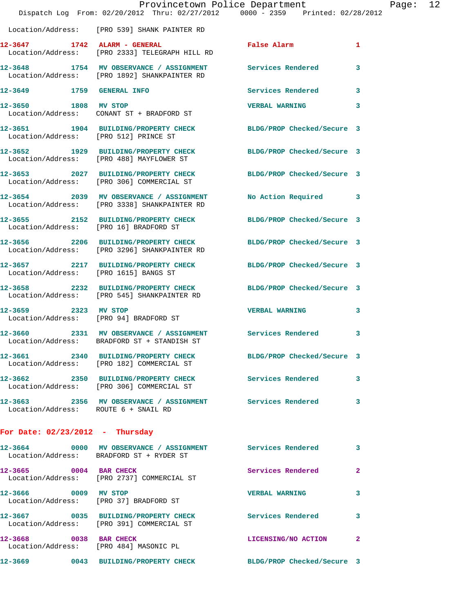| Provincetown Police Department         |                                                                                                                |                            |              |  |
|----------------------------------------|----------------------------------------------------------------------------------------------------------------|----------------------------|--------------|--|
|                                        | Dispatch Log From: 02/20/2012 Thru: 02/27/2012 0000 - 2359 Printed: 02/28/2012                                 |                            |              |  |
|                                        | Location/Address: [PRO 539] SHANK PAINTER RD                                                                   |                            |              |  |
|                                        | 12-3647 1742 ALARM - GENERAL<br>Location/Address: [PRO 2333] TELEGRAPH HILL RD                                 | False Alarm                | 1            |  |
|                                        | 12-3648 1754 MV OBSERVANCE / ASSIGNMENT Services Rendered<br>Location/Address: [PRO 1892] SHANKPAINTER RD      |                            | 3            |  |
| 12-3649 1759 GENERAL INFO              |                                                                                                                | Services Rendered          | 3            |  |
| 12-3650 1808 MV STOP                   | Location/Address: CONANT ST + BRADFORD ST                                                                      | <b>VERBAL WARNING</b>      | 3            |  |
| Location/Address: [PRO 512] PRINCE ST  | 12-3651 1904 BUILDING/PROPERTY CHECK                                                                           | BLDG/PROP Checked/Secure 3 |              |  |
|                                        | 12-3652 1929 BUILDING/PROPERTY CHECK<br>Location/Address: [PRO 488] MAYFLOWER ST                               | BLDG/PROP Checked/Secure 3 |              |  |
|                                        | 12-3653 2027 BUILDING/PROPERTY CHECK BLDG/PROP Checked/Secure 3<br>Location/Address: [PRO 306] COMMERCIAL ST   |                            |              |  |
|                                        | 12-3654 2039 MV OBSERVANCE / ASSIGNMENT<br>Location/Address: [PRO 3338] SHANKPAINTER RD                        | No Action Required         | 3            |  |
| Location/Address: [PRO 16] BRADFORD ST | 12-3655 2152 BUILDING/PROPERTY CHECK                                                                           | BLDG/PROP Checked/Secure 3 |              |  |
|                                        | 12-3656 2206 BUILDING/PROPERTY CHECK<br>Location/Address: [PRO 3296] SHANKPAINTER RD                           | BLDG/PROP Checked/Secure 3 |              |  |
| Location/Address: [PRO 1615] BANGS ST  | 12-3657 2217 BUILDING/PROPERTY CHECK                                                                           | BLDG/PROP Checked/Secure 3 |              |  |
|                                        | 12-3658 2232 BUILDING/PROPERTY CHECK BLDG/PROP Checked/Secure 3<br>Location/Address: [PRO 545] SHANKPAINTER RD |                            |              |  |
| 12-3659 2323 MV STOP                   | Location/Address: [PRO 94] BRADFORD ST                                                                         | <b>VERBAL WARNING</b>      | 3            |  |
|                                        | 12-3660 2331 MV OBSERVANCE / ASSIGNMENT Services Rendered<br>Location/Address: BRADFORD ST + STANDISH ST       |                            | 3            |  |
|                                        | 12-3661 2340 BUILDING/PROPERTY CHECK<br>Location/Address: [PRO 182] COMMERCIAL ST                              | BLDG/PROP Checked/Secure 3 |              |  |
|                                        | 12-3662 2350 BUILDING/PROPERTY CHECK<br>Location/Address: [PRO 306] COMMERCIAL ST                              | Services Rendered          | 3            |  |
| Location/Address: ROUTE 6 + SNAIL RD   | 12-3663 2356 MV OBSERVANCE / ASSIGNMENT Services Rendered                                                      |                            | 3            |  |
| For Date: $02/23/2012$ - Thursday      |                                                                                                                |                            |              |  |
|                                        | 12-3664 0000 MV OBSERVANCE / ASSIGNMENT Services Rendered<br>Location/Address: BRADFORD ST + RYDER ST          |                            | 3            |  |
| 12-3665 0004 BAR CHECK                 | Location/Address: [PRO 2737] COMMERCIAL ST                                                                     | Services Rendered          | $\mathbf{2}$ |  |
| 12-3666 0009 MV STOP                   | Location/Address: [PRO 37] BRADFORD ST                                                                         | <b>VERBAL WARNING</b>      | 3            |  |

**12-3667 0035 BUILDING/PROPERTY CHECK Services Rendered 3**  Location/Address: [PRO 391] COMMERCIAL ST **12-3668 0038 BAR CHECK LICENSING/NO ACTION 2**  Location/Address: [PRO 484] MASONIC PL **12-3669 0043 BUILDING/PROPERTY CHECK BLDG/PROP Checked/Secure 3**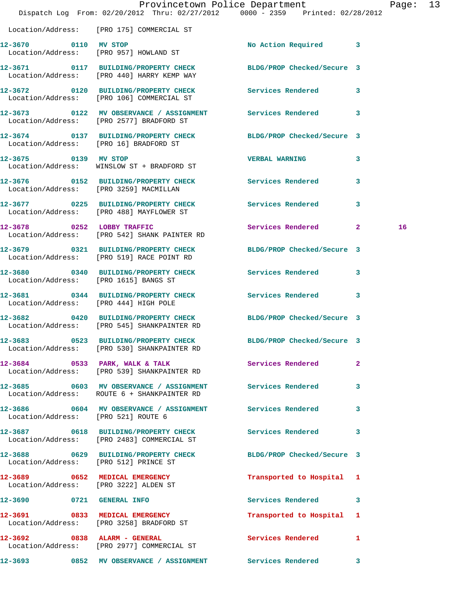|                                       | Dispatch Log From: 02/20/2012 Thru: 02/27/2012 0000 - 2359 Printed: 02/28/2012                                 | Provincetown Police Department    | Page: 13 |
|---------------------------------------|----------------------------------------------------------------------------------------------------------------|-----------------------------------|----------|
|                                       | Location/Address: [PRO 175] COMMERCIAL ST                                                                      |                                   |          |
| 12-3670 0110 MV STOP                  | Location/Address: [PRO 957] HOWLAND ST                                                                         | No Action Required 3              |          |
|                                       | 12-3671 0117 BUILDING/PROPERTY CHECK BLDG/PROP Checked/Secure 3<br>Location/Address: [PRO 440] HARRY KEMP WAY  |                                   |          |
|                                       | 12-3672 0120 BUILDING/PROPERTY CHECK Services Rendered 3<br>Location/Address: [PRO 106] COMMERCIAL ST          |                                   |          |
|                                       | 12-3673 0122 MV OBSERVANCE / ASSIGNMENT Services Rendered 3<br>Location/Address: [PRO 2577] BRADFORD ST        |                                   |          |
|                                       | 12-3674 0137 BUILDING/PROPERTY CHECK BLDG/PROP Checked/Secure 3<br>Location/Address: [PRO 16] BRADFORD ST      |                                   |          |
| 12-3675 0139 MV STOP                  | Location/Address: WINSLOW ST + BRADFORD ST                                                                     | <b>VERBAL WARNING</b><br>3        |          |
|                                       | 12-3676 0152 BUILDING/PROPERTY CHECK Services Rendered<br>Location/Address: [PRO 3259] MACMILLAN               | $\mathbf{3}$                      |          |
|                                       | 12-3677 0225 BUILDING/PROPERTY CHECK Services Rendered<br>Location/Address: [PRO 488] MAYFLOWER ST             | 3                                 |          |
| 12-3678 0252 LOBBY TRAFFIC            | Location/Address: [PRO 542] SHANK PAINTER RD                                                                   | Services Rendered 2               | 16       |
|                                       | 12-3679 0321 BUILDING/PROPERTY CHECK BLDG/PROP Checked/Secure 3<br>Location/Address: [PRO 519] RACE POINT RD   |                                   |          |
| Location/Address: [PRO 1615] BANGS ST | 12-3680 0340 BUILDING/PROPERTY CHECK Services Rendered 3                                                       |                                   |          |
| Location/Address: [PRO 444] HIGH POLE | 12-3681 0344 BUILDING/PROPERTY CHECK Services Rendered 3                                                       |                                   |          |
|                                       | 12-3682 0420 BUILDING/PROPERTY CHECK<br>Location/Address: [PRO 545] SHANKPAINTER RD                            | BLDG/PROP Checked/Secure 3        |          |
|                                       | 12-3683 0523 BUILDING/PROPERTY CHECK BLDG/PROP Checked/Secure 3<br>Location/Address: [PRO 530] SHANKPAINTER RD |                                   |          |
|                                       | 12-3684 0533 PARK, WALK & TALK Services Rendered<br>Location/Address: [PRO 539] SHANKPAINTER RD                | $\mathbf{2}$                      |          |
|                                       | 12-3685 0603 MV OBSERVANCE / ASSIGNMENT Services Rendered<br>Location/Address: ROUTE 6 + SHANKPAINTER RD       | 3                                 |          |
| Location/Address: [PRO 521] ROUTE 6   | 12-3686 0604 MV OBSERVANCE / ASSIGNMENT Services Rendered 3                                                    |                                   |          |
|                                       | 12-3687 0618 BUILDING/PROPERTY CHECK Services Rendered 3<br>Location/Address: [PRO 2483] COMMERCIAL ST         |                                   |          |
| Location/Address: [PRO 512] PRINCE ST | 12-3688 0629 BUILDING/PROPERTY CHECK BLDG/PROP Checked/Secure 3                                                |                                   |          |
|                                       | 12-3689 0652 MEDICAL EMERGENCY<br>Location/Address: [PRO 3222] ALDEN ST                                        | Transported to Hospital 1         |          |
|                                       | 12-3690 0721 GENERAL INFO                                                                                      | Services Rendered 3               |          |
|                                       | 12-3691 0833 MEDICAL EMERGENCY<br>Location/Address: [PRO 3258] BRADFORD ST                                     | Transported to Hospital 1         |          |
|                                       | 12-3692 0838 ALARM - GENERAL<br>Location/Address: [PRO 2977] COMMERCIAL ST                                     | Services Rendered<br>$\mathbf{1}$ |          |
|                                       | 12-3693 0852 MV OBSERVANCE / ASSIGNMENT Services Rendered 3                                                    |                                   |          |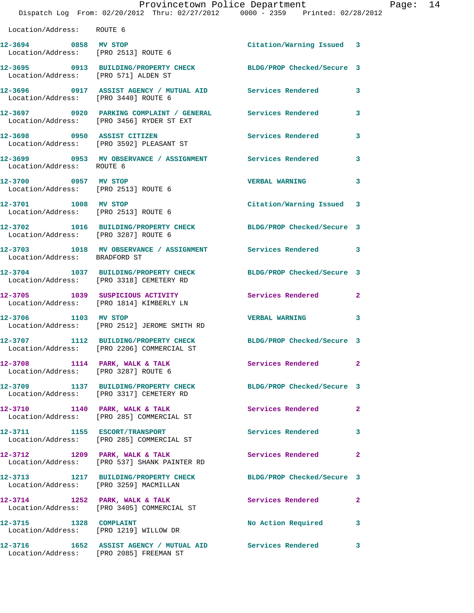|                                                              | Dispatch Log From: 02/20/2012 Thru: 02/27/2012 0000 - 2359 Printed: 02/28/2012                                      | Provincetown Police Department |              | Page: 14 |
|--------------------------------------------------------------|---------------------------------------------------------------------------------------------------------------------|--------------------------------|--------------|----------|
| Location/Address: ROUTE 6                                    |                                                                                                                     |                                |              |          |
| 12-3694 0858 MV STOP                                         | Location/Address: [PRO 2513] ROUTE 6                                                                                | Citation/Warning Issued 3      |              |          |
| Location/Address: [PRO 571] ALDEN ST                         | 12-3695 0913 BUILDING/PROPERTY CHECK BLDG/PROP Checked/Secure 3                                                     |                                |              |          |
| Location/Address: [PRO 3440] ROUTE 6                         | 12-3696 0917 ASSIST AGENCY / MUTUAL AID Services Rendered 3                                                         |                                |              |          |
|                                                              | 12-3697      0920 PARKING COMPLAINT / GENERAL      Services Rendered<br>Location/Address:   [PRO 3456] RYDER ST EXT |                                | 3            |          |
|                                                              | 12-3698 0950 ASSIST CITIZEN<br>Location/Address: [PRO 3592] PLEASANT ST                                             | <b>Services Rendered</b>       | 3            |          |
| Location/Address: ROUTE 6                                    | 12-3699 6953 MV OBSERVANCE / ASSIGNMENT Services Rendered                                                           |                                | 3            |          |
| 12-3700 0957 MV STOP<br>Location/Address: [PRO 2513] ROUTE 6 |                                                                                                                     | <b>VERBAL WARNING</b>          | 3            |          |
| 12-3701 1008 MV STOP<br>Location/Address: [PRO 2513] ROUTE 6 |                                                                                                                     | Citation/Warning Issued 3      |              |          |
| Location/Address: [PRO 3287] ROUTE 6                         | 12-3702 1016 BUILDING/PROPERTY CHECK BLDG/PROP Checked/Secure 3                                                     |                                |              |          |
| Location/Address: BRADFORD ST                                | 12-3703 1018 MV OBSERVANCE / ASSIGNMENT Services Rendered 3                                                         |                                |              |          |
|                                                              | 12-3704 1037 BUILDING/PROPERTY CHECK<br>Location/Address: [PRO 3318] CEMETERY RD                                    | BLDG/PROP Checked/Secure 3     |              |          |
|                                                              | 12-3705 1039 SUSPICIOUS ACTIVITY<br>Location/Address: [PRO 1814] KIMBERLY LN                                        | Services Rendered 2            |              |          |
|                                                              | 12-3706 1103 MV STOP<br>Location/Address: [PRO 2512] JEROME SMITH RD                                                | <b>VERBAL WARNING</b>          | 3            |          |
| 12-3707                                                      | 1112 BUILDING/PROPERTY CHECK BLDG/PROP Checked/Secure 3<br>Location/Address: [PRO 2206] COMMERCIAL ST               |                                |              |          |
|                                                              | 12-3708 1114 PARK, WALK & TALK<br>Location/Address: [PRO 3287] ROUTE 6                                              | Services Rendered              | $\mathbf{2}$ |          |
|                                                              | 12-3709 1137 BUILDING/PROPERTY CHECK<br>Location/Address: [PRO 3317] CEMETERY RD                                    | BLDG/PROP Checked/Secure 3     |              |          |
|                                                              | 12-3710 1140 PARK, WALK & TALK<br>Location/Address: [PRO 285] COMMERCIAL ST                                         | Services Rendered              | $\mathbf{2}$ |          |
|                                                              | 12-3711 1155 ESCORT/TRANSPORT<br>Location/Address: [PRO 285] COMMERCIAL ST                                          | <b>Services Rendered</b>       | 3            |          |
|                                                              | 12-3712 1209 PARK, WALK & TALK<br>Location/Address: [PRO 537] SHANK PAINTER RD                                      | Services Rendered              | $\mathbf{2}$ |          |
|                                                              | 12-3713 1217 BUILDING/PROPERTY CHECK<br>Location/Address: [PRO 3259] MACMILLAN                                      | BLDG/PROP Checked/Secure 3     |              |          |
|                                                              | 12-3714 1252 PARK, WALK & TALK<br>Location/Address: [PRO 3405] COMMERCIAL ST                                        | Services Rendered              | $\mathbf{2}$ |          |
| 12-3715 1328 COMPLAINT                                       | Location/Address: [PRO 1219] WILLOW DR                                                                              | No Action Required             | 3            |          |
|                                                              | 12-3716               1652    ASSIST AGENCY  /  MUTUAL  AID               Services  Rendered                        |                                | 3            |          |

Location/Address: [PRO 2085] FREEMAN ST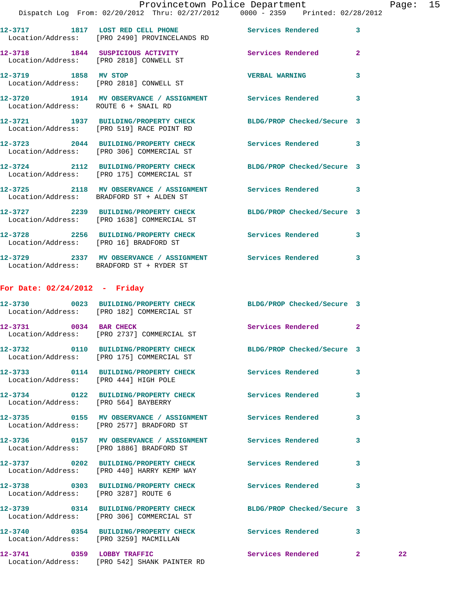|                      | Provincetown Police Department                                                                               |                          |                |
|----------------------|--------------------------------------------------------------------------------------------------------------|--------------------------|----------------|
|                      | Dispatch Log From: 02/20/2012 Thru: 02/27/2012 0000 - 2359 Printed: 02/28/2012                               |                          |                |
|                      | 12-3717 1817 LOST RED CELL PHONE<br>Location/Address: [PRO 2490] PROVINCELANDS RD                            | <b>Services Rendered</b> | 3              |
|                      | 12-3718 1844 SUSPICIOUS ACTIVITY<br>Location/Address: [PRO 2818] CONWELL ST                                  | <b>Services Rendered</b> | $\overline{2}$ |
| 12-3719 1858 MV STOP | Location/Address: [PRO 2818] CONWELL ST                                                                      | <b>VERBAL WARNING</b>    | 3              |
|                      | 12-3720 1914 MV OBSERVANCE / ASSIGNMENT Services Rendered<br>Location/Address: ROUTE 6 + SNAIL RD            |                          | 3              |
|                      | 12-3721 1937 BUILDING/PROPERTY CHECK BLDG/PROP Checked/Secure 3<br>Location/Address: [PRO 519] RACE POINT RD |                          |                |
|                      | Location/Address: [PRO 306] COMMERCIAL ST                                                                    |                          | 3              |
|                      |                                                                                                              |                          |                |

 Location/Address: [PRO 175] COMMERCIAL ST **12-3725 2118 MV OBSERVANCE / ASSIGNMENT Services Rendered 3**  Location/Address: BRADFORD ST + ALDEN ST **12-3727 2239 BUILDING/PROPERTY CHECK BLDG/PROP Checked/Secure 3**  Location/Address: [PRO 1638] COMMERCIAL ST

**12-3724 2112 BUILDING/PROPERTY CHECK BLDG/PROP Checked/Secure 3** 

**12-3728 2256 BUILDING/PROPERTY CHECK Services Rendered 3**  Location/Address: [PRO 16] BRADFORD ST **12-3729 2337 MV OBSERVANCE / ASSIGNMENT Services Rendered 3** 

## Location/Address: BRADFORD ST + RYDER ST

## **For Date: 02/24/2012 - Friday**

|                                        | 12-3730 0023 BUILDING/PROPERTY CHECK BLDG/PROP Checked/Secure 3<br>Location/Address: [PRO 182] COMMERCIAL ST        |                     |                         |    |
|----------------------------------------|---------------------------------------------------------------------------------------------------------------------|---------------------|-------------------------|----|
|                                        | 12-3731 0034 BAR CHECK<br>Location/Address: [PRO 2737] COMMERCIAL ST                                                | Services Rendered 2 |                         |    |
|                                        | 12-3732 0110 BUILDING/PROPERTY CHECK BLDG/PROP Checked/Secure 3<br>Location/Address: [PRO 175] COMMERCIAL ST        |                     |                         |    |
| Location/Address: [PRO 444] HIGH POLE  | 12-3733 0114 BUILDING/PROPERTY CHECK Services Rendered                                                              |                     | $\overline{\mathbf{3}}$ |    |
| Location/Address: [PRO 564] BAYBERRY   | 12-3734 0122 BUILDING/PROPERTY CHECK Services Rendered                                                              |                     | 3                       |    |
|                                        | 12-3735       0155   MV OBSERVANCE / ASSIGNMENT       Services Rendered<br>Location/Address: [PRO 2577] BRADFORD ST |                     | $\overline{\mathbf{3}}$ |    |
|                                        | 12-3736   0157 MV OBSERVANCE / ASSIGNMENT   Services Rendered<br>Location/Address: [PRO 1886] BRADFORD ST           |                     | $\overline{\mathbf{3}}$ |    |
|                                        | 12-3737 0202 BUILDING/PROPERTY CHECK Services Rendered<br>Location/Address: [PRO 440] HARRY KEMP WAY                |                     | $\overline{\mathbf{3}}$ |    |
| Location/Address: [PRO 3287] ROUTE 6   | 12-3738       0303   BUILDING/PROPERTY CHECK         Services Rendered                                              |                     | 3                       |    |
|                                        | 12-3739 0314 BUILDING/PROPERTY CHECK BLDG/PROP Checked/Secure 3<br>Location/Address: [PRO 306] COMMERCIAL ST        |                     |                         |    |
| Location/Address: [PRO 3259] MACMILLAN | 12-3740 0354 BUILDING/PROPERTY CHECK Services Rendered                                                              |                     | $\mathbf{3}$            |    |
|                                        | 12-3741 0359 LOBBY TRAFFIC<br>Location/Address: [PRO 542] SHANK PAINTER RD                                          | Services Rendered   | $\overline{2}$          | 22 |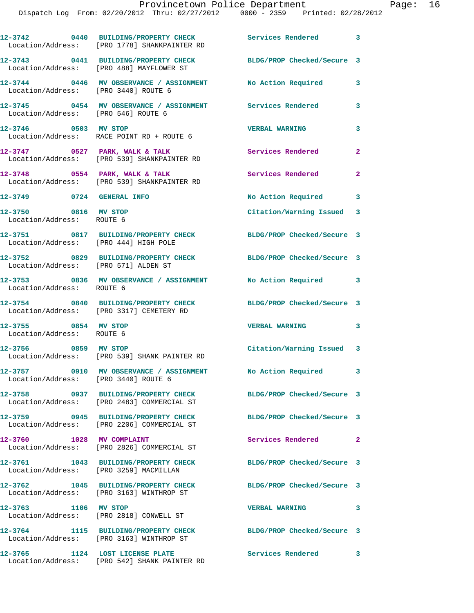|                                                   | 12-3742 0440 BUILDING/PROPERTY CHECK<br>Location/Address: [PRO 1778] SHANKPAINTER RD | Services Rendered 3        |                |
|---------------------------------------------------|--------------------------------------------------------------------------------------|----------------------------|----------------|
|                                                   | 12-3743 0441 BUILDING/PROPERTY CHECK<br>Location/Address: [PRO 488] MAYFLOWER ST     | BLDG/PROP Checked/Secure 3 |                |
| Location/Address: [PRO 3440] ROUTE 6              | 12-3744 0446 MV OBSERVANCE / ASSIGNMENT                                              | No Action Required         | 3              |
| Location/Address: [PRO 546] ROUTE 6               | 12-3745 		 0454 MV OBSERVANCE / ASSIGNMENT Services Rendered                         |                            | 3              |
| 12-3746 0503 MV STOP                              | Location/Address: RACE POINT RD + ROUTE 6                                            | <b>VERBAL WARNING</b>      | 3              |
|                                                   | 12-3747 0527 PARK, WALK & TALK<br>Location/Address: [PRO 539] SHANKPAINTER RD        | Services Rendered          | $\mathbf{2}$   |
|                                                   | 12-3748 0554 PARK, WALK & TALK<br>Location/Address: [PRO 539] SHANKPAINTER RD        | Services Rendered          | $\overline{a}$ |
| 12-3749 0724 GENERAL INFO                         |                                                                                      | No Action Required 3       |                |
| 12-3750 0816 MV STOP<br>Location/Address: ROUTE 6 |                                                                                      | Citation/Warning Issued 3  |                |
| Location/Address: [PRO 444] HIGH POLE             | 12-3751 0817 BUILDING/PROPERTY CHECK                                                 | BLDG/PROP Checked/Secure 3 |                |
| Location/Address: [PRO 571] ALDEN ST              | 12-3752 0829 BUILDING/PROPERTY CHECK                                                 | BLDG/PROP Checked/Secure 3 |                |
| Location/Address: ROUTE 6                         | 12-3753 0836 MV OBSERVANCE / ASSIGNMENT No Action Required 3                         |                            |                |
|                                                   | 12-3754 0840 BUILDING/PROPERTY CHECK<br>Location/Address: [PRO 3317] CEMETERY RD     | BLDG/PROP Checked/Secure 3 |                |
| 12-3755 0854 MV STOP<br>Location/Address: ROUTE 6 |                                                                                      | <b>VERBAL WARNING</b>      | $\mathbf{3}$   |
|                                                   | 12-3756 0859 MV STOP<br>Location/Address: [PRO 539] SHANK PAINTER RD                 | Citation/Warning Issued 3  |                |
| Location/Address: [PRO 3440] ROUTE 6              | 12-3757 0910 MV OBSERVANCE / ASSIGNMENT                                              | No Action Required         |                |
|                                                   | 12-3758 0937 BUILDING/PROPERTY CHECK<br>Location/Address: [PRO 2483] COMMERCIAL ST   | BLDG/PROP Checked/Secure 3 |                |
|                                                   | 12-3759 0945 BUILDING/PROPERTY CHECK<br>Location/Address: [PRO 2206] COMMERCIAL ST   | BLDG/PROP Checked/Secure 3 |                |
| 12-3760 1028 MV COMPLAINT                         | Location/Address: [PRO 2826] COMMERCIAL ST                                           | Services Rendered          | $\mathbf{2}$   |
| Location/Address: [PRO 3259] MACMILLAN            | 12-3761 1043 BUILDING/PROPERTY CHECK                                                 | BLDG/PROP Checked/Secure 3 |                |
|                                                   | 12-3762 1045 BUILDING/PROPERTY CHECK<br>Location/Address: [PRO 3163] WINTHROP ST     | BLDG/PROP Checked/Secure 3 |                |
| 12-3763 1106 MV STOP                              | Location/Address: [PRO 2818] CONWELL ST                                              | <b>VERBAL WARNING</b>      | 3              |
|                                                   | 12-3764 1115 BUILDING/PROPERTY CHECK<br>Location/Address: [PRO 3163] WINTHROP ST     | BLDG/PROP Checked/Secure 3 |                |
| 12-3765 1124 LOST LICENSE PLATE                   | Location/Address: [PRO 542] SHANK PAINTER RD                                         | Services Rendered          | $\mathbf{3}$   |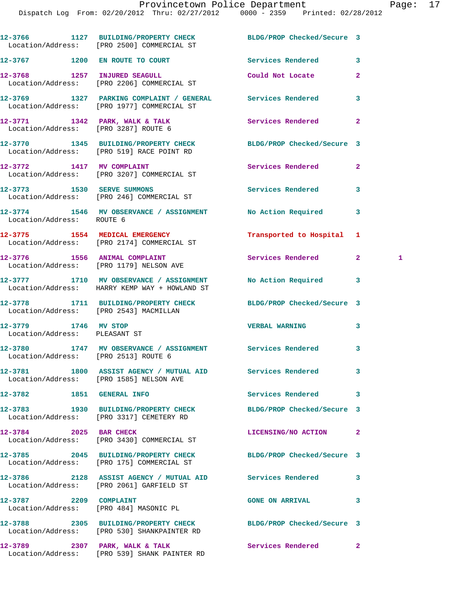|                                                       | 12-3766 1127 BUILDING/PROPERTY CHECK BLDG/PROP Checked/Secure 3<br>Location/Address: [PRO 2500] COMMERCIAL ST  |                            |              |   |
|-------------------------------------------------------|----------------------------------------------------------------------------------------------------------------|----------------------------|--------------|---|
|                                                       | 12-3767 1200 EN ROUTE TO COURT                                                                                 | Services Rendered          | 3            |   |
| 12-3768 1257 INJURED SEAGULL                          | Location/Address: [PRO 2206] COMMERCIAL ST                                                                     | Could Not Locate           | $\mathbf{2}$ |   |
|                                                       | 12-3769 1327 PARKING COMPLAINT / GENERAL Services Rendered<br>Location/Address: [PRO 1977] COMMERCIAL ST       |                            | 3            |   |
| Location/Address: [PRO 3287] ROUTE 6                  | 12-3771 1342 PARK, WALK & TALK                                                                                 | Services Rendered          | $\mathbf{2}$ |   |
|                                                       | 12-3770 1345 BUILDING/PROPERTY CHECK BLDG/PROP Checked/Secure 3<br>Location/Address: [PRO 519] RACE POINT RD   |                            |              |   |
|                                                       | 12-3772 1417 MV COMPLAINT<br>Location/Address: [PRO 3207] COMMERCIAL ST                                        | Services Rendered          | $\mathbf{2}$ |   |
|                                                       | 12-3773 1530 SERVE SUMMONS<br>Location/Address: [PRO 246] COMMERCIAL ST                                        | <b>Services Rendered</b>   | 3            |   |
| Location/Address: ROUTE 6                             | 12-3774 1546 MV OBSERVANCE / ASSIGNMENT No Action Required                                                     |                            | 3            |   |
|                                                       | 12-3775 1554 MEDICAL EMERGENCY<br>Location/Address: [PRO 2174] COMMERCIAL ST                                   | Transported to Hospital    | 1            |   |
|                                                       | 12-3776 1556 ANIMAL COMPLAINT<br>Location/Address: [PRO 1179] NELSON AVE                                       | Services Rendered          | $\mathbf{2}$ | 1 |
|                                                       | 12-3777 1710 MV OBSERVANCE / ASSIGNMENT No Action Required<br>Location/Address: HARRY KEMP WAY + HOWLAND ST    |                            | 3            |   |
| Location/Address: [PRO 2543] MACMILLAN                | 12-3778 1711 BUILDING/PROPERTY CHECK BLDG/PROP Checked/Secure 3                                                |                            |              |   |
| 12-3779 1746 MV STOP<br>Location/Address: PLEASANT ST |                                                                                                                | <b>VERBAL WARNING</b>      | 3            |   |
| Location/Address: [PRO 2513] ROUTE 6                  | 12-3780 1747 MV OBSERVANCE / ASSIGNMENT Services Rendered                                                      |                            | 3            |   |
|                                                       | 12-3781 1800 ASSIST AGENCY / MUTUAL AID Services Rendered<br>Location/Address: [PRO 1585] NELSON AVE           |                            |              |   |
| 12-3782 1851 GENERAL INFO                             |                                                                                                                | Services Rendered          | 3            |   |
|                                                       | 12-3783 1930 BUILDING/PROPERTY CHECK<br>Location/Address: [PRO 3317] CEMETERY RD                               | BLDG/PROP Checked/Secure 3 |              |   |
| 12-3784 2025 BAR CHECK                                | Location/Address: [PRO 3430] COMMERCIAL ST                                                                     | LICENSING/NO ACTION        | $\mathbf{2}$ |   |
|                                                       | 12-3785 2045 BUILDING/PROPERTY CHECK<br>Location/Address: [PRO 175] COMMERCIAL ST                              | BLDG/PROP Checked/Secure 3 |              |   |
|                                                       | 12-3786 2128 ASSIST AGENCY / MUTUAL AID Services Rendered<br>Location/Address: [PRO 2061] GARFIELD ST          |                            | 3            |   |
| 12-3787 2209 COMPLAINT                                | Location/Address: [PRO 484] MASONIC PL                                                                         | <b>GONE ON ARRIVAL</b>     | 3            |   |
|                                                       | 12-3788 2305 BUILDING/PROPERTY CHECK BLDG/PROP Checked/Secure 3<br>Location/Address: [PRO 530] SHANKPAINTER RD |                            |              |   |
|                                                       | 12-3789 2307 PARK, WALK & TALK<br>Location/Address: [PRO 539] SHANK PAINTER RD                                 | <b>Services Rendered</b>   | $\mathbf{2}$ |   |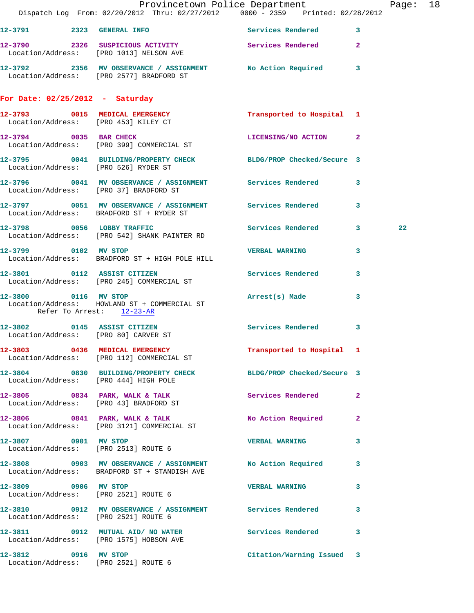|                                   | Dispatch Log From: 02/20/2012 Thru: 02/27/2012 0000 - 2359 Printed: 02/28/2012                             | Provincetown Police Department Fage: 18 |    |
|-----------------------------------|------------------------------------------------------------------------------------------------------------|-----------------------------------------|----|
|                                   | 12-3791 2323 GENERAL INFO 2008 Services Rendered 3                                                         |                                         |    |
|                                   | 12-3790 2326 SUSPICIOUS ACTIVITY Services Rendered 2<br>Location/Address: [PRO 1013] NELSON AVE            |                                         |    |
|                                   | 12-3792 2356 MV OBSERVANCE / ASSIGNMENT No Action Required 3<br>Location/Address: [PRO 2577] BRADFORD ST   |                                         |    |
| For Date: $02/25/2012$ - Saturday |                                                                                                            |                                         |    |
|                                   | 12-3793 0015 MEDICAL EMERGENCY Transported to Hospital 1<br>Location/Address: [PRO 453] KILEY CT           |                                         |    |
|                                   | 12-3794 0035 BAR CHECK<br>Location/Address: [PRO 399] COMMERCIAL ST                                        | LICENSING/NO ACTION 2                   |    |
|                                   | 12-3795 0041 BUILDING/PROPERTY CHECK BLDG/PROP Checked/Secure 3<br>Location/Address: [PRO 526] RYDER ST    |                                         |    |
|                                   | 12-3796 0041 MV OBSERVANCE / ASSIGNMENT Services Rendered 3<br>Location/Address: [PRO 37] BRADFORD ST      |                                         |    |
|                                   | 12-3797 0051 MV OBSERVANCE / ASSIGNMENT Services Rendered 3<br>Location/Address: BRADFORD ST + RYDER ST    |                                         |    |
|                                   | 12-3798 0056 LOBBY TRAFFIC<br>Location/Address: [PRO 542] SHANK PAINTER RD                                 | Services Rendered 3                     | 22 |
|                                   | 12-3799 0102 MV STOP<br>Location/Address: BRADFORD ST + HIGH POLE HILL                                     | <b>VERBAL WARNING</b><br>3              |    |
|                                   | 12-3801 0112 ASSIST CITIZEN<br>Location/Address: [PRO 245] COMMERCIAL ST                                   | Services Rendered<br>3                  |    |
| Refer To Arrest: 12-23-AR         | 12-3800 0116 MV STOP<br>Location/Address: HOWLAND ST + COMMERCIAL ST                                       | Arrest(s) Made<br>3                     |    |
|                                   | 12-3802 0145 ASSIST CITIZEN<br>Location/Address: [PRO 80] CARVER ST                                        | Services Rendered<br>3                  |    |
|                                   | 12-3803 0436 MEDICAL EMERGENCY<br>Location/Address: [PRO 112] COMMERCIAL ST                                | Transported to Hospital 1               |    |
|                                   | 12-3804 0830 BUILDING/PROPERTY CHECK BLDG/PROP Checked/Secure 3<br>Location/Address: [PRO 444] HIGH POLE   |                                         |    |
|                                   | 12-3805 0834 PARK, WALK & TALK<br>Location/Address: [PRO 43] BRADFORD ST                                   | Services Rendered<br>-2                 |    |
|                                   | 12-3806 0841 PARK, WALK & TALK<br>Location/Address: [PRO 3121] COMMERCIAL ST                               | No Action Required<br>$\mathbf{2}$      |    |
|                                   | 12-3807 0901 MV STOP<br>Location/Address: [PRO 2513] ROUTE 6                                               | 3<br><b>VERBAL WARNING</b>              |    |
|                                   | 12-3808 0903 MV OBSERVANCE / ASSIGNMENT No Action Required<br>Location/Address: BRADFORD ST + STANDISH AVE | 3                                       |    |
| 12-3809 0906 MV STOP              | Location/Address: [PRO 2521] ROUTE 6                                                                       | <b>VERBAL WARNING</b><br>$\mathbf{3}$   |    |
|                                   | 12-3810 0912 MV OBSERVANCE / ASSIGNMENT Services Rendered<br>Location/Address: [PRO 2521] ROUTE 6          | 3                                       |    |
|                                   | 12-3811 0912 MUTUAL AID/ NO WATER Services Rendered 3<br>Location/Address: [PRO 1575] HOBSON AVE           |                                         |    |
|                                   | 12-3812 0916 MV STOP<br>Location/Address: [PRO 2521] ROUTE 6                                               | Citation/Warning Issued 3               |    |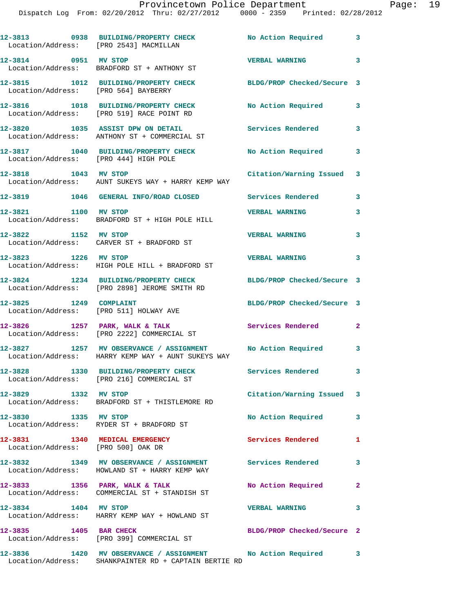| Location/Address: [PRO 2543] MACMILLAN                               | 12-3813 0938 BUILDING/PROPERTY CHECK No Action Required 3                                                             |                            |                         |
|----------------------------------------------------------------------|-----------------------------------------------------------------------------------------------------------------------|----------------------------|-------------------------|
| 12-3814 0951 MV STOP                                                 | Location/Address: BRADFORD ST + ANTHONY ST                                                                            | <b>VERBAL WARNING</b>      | 3                       |
| Location/Address: [PRO 564] BAYBERRY                                 | 12-3815 1012 BUILDING/PROPERTY CHECK BLDG/PROP Checked/Secure 3                                                       |                            |                         |
|                                                                      | 12-3816 1018 BUILDING/PROPERTY CHECK<br>Location/Address: [PRO 519] RACE POINT RD                                     | No Action Required         | 3                       |
|                                                                      | 12-3820 1035 ASSIST DPW ON DETAIL<br>Location/Address: ANTHONY ST + COMMERCIAL ST                                     | <b>Services Rendered</b>   | 3                       |
| Location/Address: [PRO 444] HIGH POLE                                | 12-3817 1040 BUILDING/PROPERTY CHECK                                                                                  | <b>No Action Required</b>  | 3                       |
| 12-3818 1043 MV STOP                                                 | Location/Address: AUNT SUKEYS WAY + HARRY KEMP WAY                                                                    | Citation/Warning Issued 3  |                         |
|                                                                      | 12-3819 1046 GENERAL INFO/ROAD CLOSED Services Rendered                                                               |                            | 3                       |
| 12-3821 1100 MV STOP                                                 | Location/Address: BRADFORD ST + HIGH POLE HILL                                                                        | <b>VERBAL WARNING</b>      | 3                       |
| 12-3822 1152 MV STOP                                                 | Location/Address: CARVER ST + BRADFORD ST                                                                             | <b>VERBAL WARNING</b>      | 3                       |
| 12-3823 1226 MV STOP                                                 | Location/Address: HIGH POLE HILL + BRADFORD ST                                                                        | <b>VERBAL WARNING</b>      | 3                       |
|                                                                      | 12-3824 1234 BUILDING/PROPERTY CHECK<br>Location/Address: [PRO 2898] JEROME SMITH RD                                  | BLDG/PROP Checked/Secure 3 |                         |
| 12-3825 1249 COMPLAINT                                               | Location/Address: [PRO 511] HOLWAY AVE                                                                                | BLDG/PROP Checked/Secure 3 |                         |
|                                                                      | $12-3826$ 1257 PARK, WALK & TALK<br>Location/Address: [PRO 2222] COMMERCIAL ST                                        | Services Rendered          | $\mathbf{2}$            |
|                                                                      | 12-3827 1257 MV OBSERVANCE / ASSIGNMENT No Action Required 3<br>Location/Address: HARRY KEMP WAY + AUNT SUKEYS WAY    |                            |                         |
|                                                                      | 12-3828 1330 BUILDING/PROPERTY CHECK<br>Location/Address: [PRO 216] COMMERCIAL ST                                     | Services Rendered          | $\overline{\mathbf{3}}$ |
| 12-3829 1332 MV STOP                                                 | Location/Address: BRADFORD ST + THISTLEMORE RD                                                                        | Citation/Warning Issued 3  |                         |
| 12-3830 1335 MV STOP                                                 | Location/Address: RYDER ST + BRADFORD ST                                                                              | No Action Required         | 3                       |
| 12-3831 1340 MEDICAL EMERGENCY<br>Location/Address: [PRO 500] OAK DR |                                                                                                                       | <b>Services Rendered</b>   | $\mathbf{1}$            |
|                                                                      | 12-3832 1349 MV OBSERVANCE / ASSIGNMENT Services Rendered<br>Location/Address: HOWLAND ST + HARRY KEMP WAY            |                            | 3                       |
|                                                                      | 12-3833 1356 PARK, WALK & TALK<br>Location/Address: COMMERCIAL ST + STANDISH ST                                       | No Action Required         | $\mathbf{2}$            |
| 12-3834 1404 MV STOP                                                 | Location/Address: HARRY KEMP WAY + HOWLAND ST                                                                         | <b>VERBAL WARNING</b>      | 3                       |
| 12-3835 1405 BAR CHECK                                               | Location/Address: [PRO 399] COMMERCIAL ST                                                                             | BLDG/PROP Checked/Secure 2 |                         |
|                                                                      | 12-3836 1420 MV OBSERVANCE / ASSIGNMENT No Action Required 3<br>Location/Address: SHANKPAINTER RD + CAPTAIN BERTIE RD |                            |                         |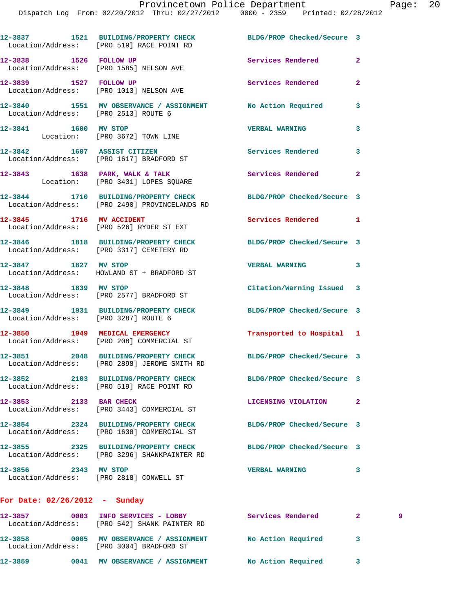|                                      | 12-3837 1521 BUILDING/PROPERTY CHECK BLDG/PROP Checked/Secure 3<br>Location/Address: [PRO 519] RACE POINT RD     |                            |                            |
|--------------------------------------|------------------------------------------------------------------------------------------------------------------|----------------------------|----------------------------|
| 12-3838 1526 FOLLOW UP               | Location/Address: [PRO 1585] NELSON AVE                                                                          | <b>Services Rendered</b>   | $\mathbf{2}$               |
| 12-3839 1527 FOLLOW UP               | Location/Address: [PRO 1013] NELSON AVE                                                                          | Services Rendered          | $\mathbf{2}$               |
| Location/Address: [PRO 2513] ROUTE 6 | 12-3840 1551 MV OBSERVANCE / ASSIGNMENT No Action Required                                                       |                            | 3                          |
| 12-3841 1600 MV STOP                 | Location: [PRO 3672] TOWN LINE                                                                                   | <b>VERBAL WARNING</b>      | 3                          |
|                                      | 12-3842 1607 ASSIST CITIZEN<br>Location/Address: [PRO 1617] BRADFORD ST                                          | <b>Services Rendered</b>   | $\overline{\phantom{a}}$ 3 |
|                                      | $12-3843$ $1638$ PARK, WALK & TALK<br>Location: [PRO 3431] LOPES SQUARE                                          | Services Rendered          | $\mathbf{2}$               |
|                                      | 12-3844 1710 BUILDING/PROPERTY CHECK BLDG/PROP Checked/Secure 3<br>Location/Address: [PRO 2490] PROVINCELANDS RD |                            |                            |
|                                      | 12-3845 1716 MV ACCIDENT<br>Location/Address: [PRO 526] RYDER ST EXT                                             | Services Rendered 1        |                            |
|                                      | 12-3846 1818 BUILDING/PROPERTY CHECK BLDG/PROP Checked/Secure 3<br>Location/Address: [PRO 3317] CEMETERY RD      |                            |                            |
|                                      | 12-3847 1827 MV STOP<br>Location/Address: HOWLAND ST + BRADFORD ST                                               | <b>VERBAL WARNING</b>      | 3                          |
| 12-3848 1839 MV STOP                 | Location/Address: [PRO 2577] BRADFORD ST                                                                         | Citation/Warning Issued 3  |                            |
| Location/Address: [PRO 3287] ROUTE 6 | 12-3849 1931 BUILDING/PROPERTY CHECK                                                                             | BLDG/PROP Checked/Secure 3 |                            |
|                                      | 12-3850 1949 MEDICAL EMERGENCY<br>Location/Address: [PRO 208] COMMERCIAL ST                                      | Transported to Hospital 1  |                            |
|                                      | 12-3851 2048 BUILDING/PROPERTY CHECK<br>Location/Address: [PRO 2898] JEROME SMITH RD                             | BLDG/PROP Checked/Secure 3 |                            |
|                                      | 12-3852 2103 BUILDING/PROPERTY CHECK<br>Location/Address: [PRO 519] RACE POINT RD                                | BLDG/PROP Checked/Secure 3 |                            |
| 12-3853 2133 BAR CHECK               | Location/Address: [PRO 3443] COMMERCIAL ST                                                                       | LICENSING VIOLATION        | $\mathbf{2}$               |
|                                      | 12-3854 2324 BUILDING/PROPERTY CHECK<br>Location/Address: [PRO 1638] COMMERCIAL ST                               | BLDG/PROP Checked/Secure 3 |                            |
|                                      | 12-3855 2325 BUILDING/PROPERTY CHECK<br>Location/Address: [PRO 3296] SHANKPAINTER RD                             | BLDG/PROP Checked/Secure 3 |                            |
| 12-3856 2343 MV STOP                 | Location/Address: [PRO 2818] CONWELL ST                                                                          | <b>VERBAL WARNING</b>      | 3                          |
|                                      |                                                                                                                  |                            |                            |

## **For Date: 02/26/2012 - Sunday**

**12-3857 0003 INFO SERVICES - LOBBY Services Rendered 2 9**  Location/Address: [PRO 542] SHANK PAINTER RD **12-3858 0005 MV OBSERVANCE / ASSIGNMENT No Action Required 3**  Location/Address: [PRO 3004] BRADFORD ST **12-3859 0041 MV OBSERVANCE / ASSIGNMENT No Action Required 3**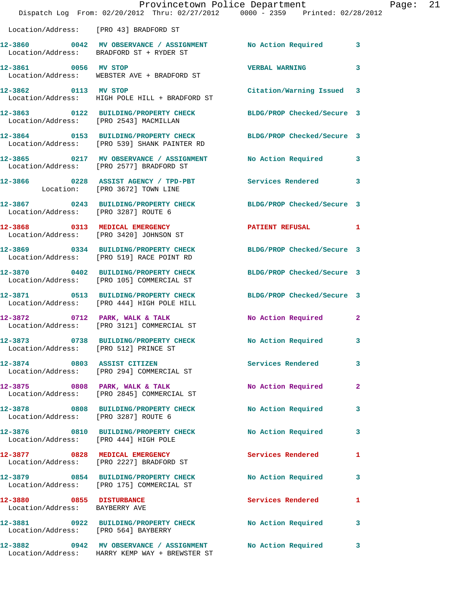|                                                            | Provincetown Police Department<br>Dispatch Log From: 02/20/2012 Thru: 02/27/2012 0000 - 2359 Printed: 02/28/2012 |                            |                         |
|------------------------------------------------------------|------------------------------------------------------------------------------------------------------------------|----------------------------|-------------------------|
|                                                            | Location/Address: [PRO 43] BRADFORD ST                                                                           |                            |                         |
|                                                            | 12-3860 0042 MV OBSERVANCE / ASSIGNMENT No Action Required<br>Location/Address: BRADFORD ST + RYDER ST           |                            | 3                       |
| 12-3861 0056 MV STOP                                       | Location/Address: WEBSTER AVE + BRADFORD ST                                                                      | <b>VERBAL WARNING</b>      | 3                       |
| 12-3862 0113 MV STOP                                       | Location/Address: HIGH POLE HILL + BRADFORD ST                                                                   | Citation/Warning Issued    | 3                       |
|                                                            | 12-3863 0122 BUILDING/PROPERTY CHECK<br>Location/Address: [PRO 2543] MACMILLAN                                   | BLDG/PROP Checked/Secure 3 |                         |
|                                                            | 12-3864 0153 BUILDING/PROPERTY CHECK BLDG/PROP Checked/Secure 3<br>Location/Address: [PRO 539] SHANK PAINTER RD  |                            |                         |
|                                                            | 12-3865 0217 MV OBSERVANCE / ASSIGNMENT No Action Required<br>Location/Address: [PRO 2577] BRADFORD ST           |                            | 3                       |
|                                                            | 12-3866 0228 ASSIST AGENCY / TPD-PBT<br>Location: [PRO 3672] TOWN LINE                                           | Services Rendered          | 3                       |
| Location/Address: [PRO 3287] ROUTE 6                       | 12-3867 0243 BUILDING/PROPERTY CHECK BLDG/PROP Checked/Secure 3                                                  |                            |                         |
|                                                            | 12-3868 0313 MEDICAL EMERGENCY<br>Location/Address: [PRO 3420] JOHNSON ST                                        | PATIENT REFUSAL            | 1                       |
|                                                            | 12-3869 0334 BUILDING/PROPERTY CHECK<br>Location/Address: [PRO 519] RACE POINT RD                                | BLDG/PROP Checked/Secure 3 |                         |
|                                                            | 12-3870 0402 BUILDING/PROPERTY CHECK<br>Location/Address: [PRO 105] COMMERCIAL ST                                | BLDG/PROP Checked/Secure 3 |                         |
|                                                            | 12-3871 0513 BUILDING/PROPERTY CHECK<br>Location/Address: [PRO 444] HIGH POLE HILL                               | BLDG/PROP Checked/Secure 3 |                         |
|                                                            | 12-3872 0712 PARK, WALK & TALK<br>Location/Address: [PRO 3121] COMMERCIAL ST                                     | No Action Required         | $\mathbf{2}$            |
|                                                            | 12-3873 0738 BUILDING/PROPERTY CHECK<br>Location/Address: [PRO 512] PRINCE ST                                    | <b>No Action Required</b>  | $\overline{\mathbf{3}}$ |
|                                                            | 12-3874 0803 ASSIST CITIZEN<br>Location/Address: [PRO 294] COMMERCIAL ST                                         | <b>Services Rendered</b>   | 3                       |
|                                                            | 12-3875 0808 PARK, WALK & TALK<br>Location/Address: [PRO 2845] COMMERCIAL ST                                     | No Action Required         | $\mathbf{2}$            |
| Location/Address: [PRO 3287] ROUTE 6                       | 12-3878 0808 BUILDING/PROPERTY CHECK                                                                             | No Action Required         | 3                       |
|                                                            | 12-3876 0810 BUILDING/PROPERTY CHECK<br>Location/Address: [PRO 444] HIGH POLE                                    | <b>No Action Required</b>  | 3                       |
|                                                            | 12-3877 0828 MEDICAL EMERGENCY<br>Location/Address: [PRO 2227] BRADFORD ST                                       | Services Rendered          | 1                       |
|                                                            | 12-3879 0854 BUILDING/PROPERTY CHECK<br>Location/Address: [PRO 175] COMMERCIAL ST                                | No Action Required         | 3                       |
| 12-3880 0855 DISTURBANCE<br>Location/Address: BAYBERRY AVE |                                                                                                                  | Services Rendered          | 1                       |
|                                                            | 12-3881 0922 BUILDING/PROPERTY CHECK<br>Location/Address: [PRO 564] BAYBERRY                                     | No Action Required         | 3                       |
|                                                            | 12-3882       0942   MV OBSERVANCE / ASSIGNMENT       No Action Required                                         |                            | $\mathbf{3}$            |

Location/Address: HARRY KEMP WAY + BREWSTER ST

Page: 21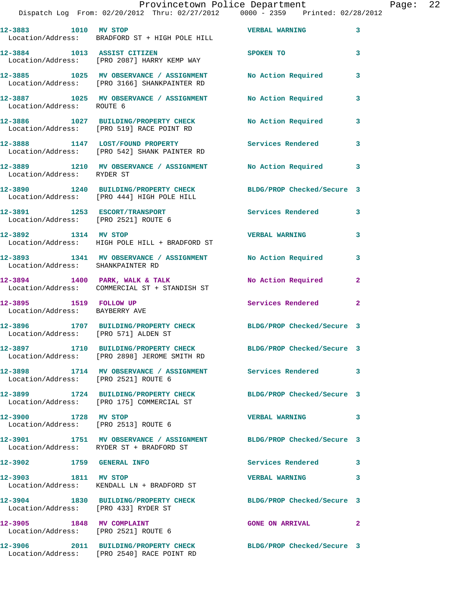|                                                                   | Provincetown Police Department<br>Dispatch Log From: 02/20/2012 Thru: 02/27/2012 0000 - 2359 Printed: 02/28/2012 |                                      | Page: 22                |
|-------------------------------------------------------------------|------------------------------------------------------------------------------------------------------------------|--------------------------------------|-------------------------|
| 12-3883 1010 MV STOP                                              |                                                                                                                  | VERBAL WARNING 3                     |                         |
|                                                                   | Location/Address: BRADFORD ST + HIGH POLE HILL                                                                   |                                      |                         |
|                                                                   | 12-3884 1013 ASSIST CITIZEN<br>Location/Address: [PRO 2087] HARRY KEMP WAY                                       | SPOKEN TO THE STATE OF THE SPOKEN TO | $\overline{\mathbf{3}}$ |
|                                                                   | 12-3885 1025 MV OBSERVANCE / ASSIGNMENT No Action Required 3<br>Location/Address: [PRO 3166] SHANKPAINTER RD     |                                      |                         |
| Location/Address: ROUTE 6                                         | 12-3887 1025 MV OBSERVANCE / ASSIGNMENT No Action Required 3                                                     |                                      |                         |
|                                                                   | 12-3886 1027 BUILDING/PROPERTY CHECK<br>Location/Address: [PRO 519] RACE POINT RD                                | No Action Required 3                 |                         |
|                                                                   | 12-3888 1147 LOST/FOUND PROPERTY Services Rendered 3<br>Location/Address: [PRO 542] SHANK PAINTER RD             |                                      |                         |
|                                                                   | 12-3889 1210 MV OBSERVANCE / ASSIGNMENT No Action Required 3<br>Location/Address: RYDER ST                       |                                      |                         |
|                                                                   | 12-3890 1240 BUILDING/PROPERTY CHECK BLDG/PROP Checked/Secure 3<br>Location/Address: [PRO 444] HIGH POLE HILL    |                                      |                         |
|                                                                   | 12-3891 1253 ESCORT/TRANSPORT<br>Location/Address: [PRO 2521] ROUTE 6                                            | Services Rendered 3                  |                         |
|                                                                   | 12-3892 1314 MV STOP<br>Location/Address: HIGH POLE HILL + BRADFORD ST                                           | <b>VERBAL WARNING</b>                | 3                       |
| Location/Address: SHANKPAINTER RD                                 | 12-3893 1341 MV OBSERVANCE / ASSIGNMENT No Action Required 3                                                     |                                      |                         |
|                                                                   | $12-3894$ 1400 PARK, WALK & TALK<br>Location/Address: COMMERCIAL ST + STANDISH ST                                | No Action Required                   | $\mathbf{2}$            |
| Location/Address: BAYBERRY AVE                                    | 12-3895 1519 FOLLOW UP Services Rendered 2                                                                       |                                      |                         |
| Location/Address: [PRO 571] ALDEN ST                              | 12-3896 1707 BUILDING/PROPERTY CHECK BLDG/PROP Checked/Secure 3                                                  |                                      |                         |
|                                                                   | 12-3897 1710 BUILDING/PROPERTY CHECK<br>Location/Address: [PRO 2898] JEROME SMITH RD                             | BLDG/PROP Checked/Secure 3           |                         |
| Location/Address: [PRO 2521] ROUTE 6                              | 12-3898 1714 MV OBSERVANCE / ASSIGNMENT Services Rendered 3                                                      |                                      |                         |
|                                                                   | 12-3899 1724 BUILDING/PROPERTY CHECK<br>Location/Address: [PRO 175] COMMERCIAL ST                                | BLDG/PROP Checked/Secure 3           |                         |
| 12-3900 1728 MV STOP<br>Location/Address: [PRO 2513] ROUTE 6      |                                                                                                                  | <b>VERBAL WARNING</b>                | $\overline{\mathbf{3}}$ |
|                                                                   | 12-3901 1751 MV OBSERVANCE / ASSIGNMENT BLDG/PROP Checked/Secure 3<br>Location/Address: RYDER ST + BRADFORD ST   |                                      |                         |
| 12-3902 1759 GENERAL INFO                                         |                                                                                                                  | Services Rendered 3                  |                         |
| 12-3903 1811 MV STOP                                              | Location/Address: KENDALL LN + BRADFORD ST                                                                       | <b>VERBAL WARNING</b>                | 3                       |
| Location/Address: [PRO 433] RYDER ST                              | 12-3904 1830 BUILDING/PROPERTY CHECK BLDG/PROP Checked/Secure 3                                                  |                                      |                         |
| 12-3905 1848 MV COMPLAINT<br>Location/Address: [PRO 2521] ROUTE 6 |                                                                                                                  | <b>GONE ON ARRIVAL</b>               | $\mathbf{2}$            |

Location/Address: [PRO 2540] RACE POINT RD

**12-3906 2011 BUILDING/PROPERTY CHECK BLDG/PROP Checked/Secure 3**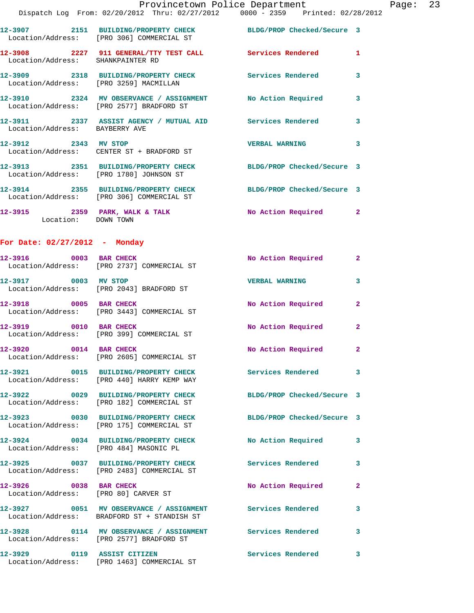|                                                                | Provincetown Police Department<br>Dispatch Log From: 02/20/2012 Thru: 02/27/2012 0000 - 2359 Printed: 02/28/2012 |                            |                |
|----------------------------------------------------------------|------------------------------------------------------------------------------------------------------------------|----------------------------|----------------|
|                                                                | 12-3907 2151 BUILDING/PROPERTY CHECK BLDG/PROP Checked/Secure 3<br>Location/Address: [PRO 306] COMMERCIAL ST     |                            |                |
| Location/Address: SHANKPAINTER RD                              | 12-3908 2227 911 GENERAL/TTY TEST CALL Services Rendered                                                         |                            | 1              |
| Location/Address: [PRO 3259] MACMILLAN                         | 12-3909 2318 BUILDING/PROPERTY CHECK Services Rendered                                                           |                            | 3              |
|                                                                | 12-3910 2324 MV OBSERVANCE / ASSIGNMENT No Action Required<br>Location/Address: [PRO 2577] BRADFORD ST           |                            | 3              |
| Location/Address: BAYBERRY AVE                                 | 12-3911 2337 ASSIST AGENCY / MUTUAL AID Services Rendered                                                        |                            | 3              |
| 12-3912 2343 MV STOP                                           | Location/Address: CENTER ST + BRADFORD ST                                                                        | <b>VERBAL WARNING</b>      | 3              |
|                                                                | 12-3913 2351 BUILDING/PROPERTY CHECK BLDG/PROP Checked/Secure 3<br>Location/Address: [PRO 1780] JOHNSON ST       |                            |                |
|                                                                | 12-3914 2355 BUILDING/PROPERTY CHECK BLDG/PROP Checked/Secure 3<br>Location/Address: [PRO 306] COMMERCIAL ST     |                            |                |
|                                                                | 12-3915 2359 PARK, WALK & TALK<br>Location: DOWN TOWN                                                            | No Action Required         | $\mathbf{2}$   |
| For Date: $02/27/2012$ - Monday                                |                                                                                                                  |                            |                |
|                                                                | 12-3916 0003 BAR CHECK<br>Location/Address: [PRO 2737] COMMERCIAL ST                                             | No Action Required         | $\overline{2}$ |
| 12-3917 0003 MV STOP                                           | Location/Address: [PRO 2043] BRADFORD ST                                                                         | <b>VERBAL WARNING</b>      | 3              |
| 12-3918 0005 BAR CHECK                                         | Location/Address: [PRO 3443] COMMERCIAL ST                                                                       | No Action Required         | $\mathbf{2}$   |
|                                                                | 12-3919 0010 BAR CHECK<br>Location/Address: [PRO 399] COMMERCIAL ST                                              | No Action Required         | 2              |
| 12-3920 0014 BAR CHECK                                         | Location/Address: [PRO 2605] COMMERCIAL ST                                                                       | No Action Required         | 2              |
|                                                                | 12-3921 0015 BUILDING/PROPERTY CHECK Services Rendered<br>Location/Address: [PRO 440] HARRY KEMP WAY             |                            | 3              |
|                                                                | 12-3922 0029 BUILDING/PROPERTY CHECK<br>Location/Address: [PRO 182] COMMERCIAL ST                                | BLDG/PROP Checked/Secure 3 |                |
|                                                                | 12-3923 0030 BUILDING/PROPERTY CHECK BLDG/PROP Checked/Secure 3<br>Location/Address: [PRO 175] COMMERCIAL ST     |                            |                |
| Location/Address: [PRO 484] MASONIC PL                         | 12-3924 0034 BUILDING/PROPERTY CHECK                                                                             | No Action Required         | 3              |
|                                                                | 12-3925 0037 BUILDING/PROPERTY CHECK Services Rendered<br>Location/Address: [PRO 2483] COMMERCIAL ST             |                            | 3              |
| 12-3926 0038 BAR CHECK<br>Location/Address: [PRO 80] CARVER ST |                                                                                                                  | No Action Required         | $\mathbf{2}$   |
|                                                                | 12-3927 0051 MV OBSERVANCE / ASSIGNMENT<br>Location/Address: BRADFORD ST + STANDISH ST                           | <b>Services Rendered</b>   | 3              |
|                                                                | 12-3928   0114 MV OBSERVANCE / ASSIGNMENT   Services Rendered<br>Location/Address: [PRO 2577] BRADFORD ST        |                            | 3              |
| 12-3929 0119 ASSIST CITIZEN                                    |                                                                                                                  | Services Rendered          | 3              |

Location/Address: [PRO 1463] COMMERCIAL ST

Page:  $23$ <br> $22$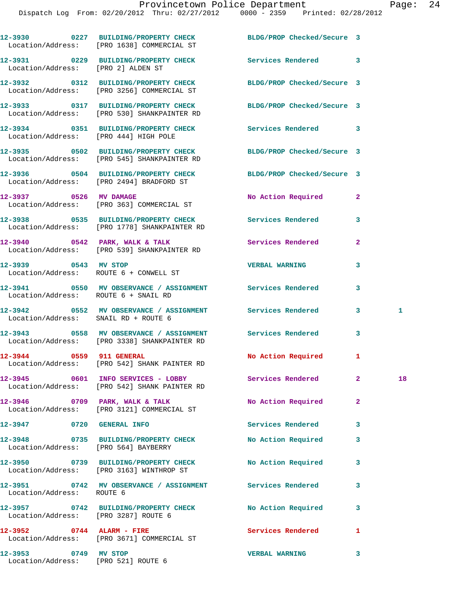|                             | 12-3930 0227 BUILDING/PROPERTY CHECK<br>Location/Address: [PRO 1638] COMMERCIAL ST                             | BLDG/PROP Checked/Secure 3 |                |    |
|-----------------------------|----------------------------------------------------------------------------------------------------------------|----------------------------|----------------|----|
|                             | 12-3931 0229 BUILDING/PROPERTY CHECK Services Rendered 3<br>Location/Address: [PRO 2] ALDEN ST                 |                            |                |    |
|                             | 12-3932 0312 BUILDING/PROPERTY CHECK BLDG/PROP Checked/Secure 3<br>Location/Address: [PRO 3256] COMMERCIAL ST  |                            |                |    |
|                             | 12-3933 0317 BUILDING/PROPERTY CHECK BLDG/PROP Checked/Secure 3<br>Location/Address: [PRO 530] SHANKPAINTER RD |                            |                |    |
|                             | 12-3934 0351 BUILDING/PROPERTY CHECK<br>Location/Address: [PRO 444] HIGH POLE                                  | <b>Services Rendered</b> 3 |                |    |
|                             | 12-3935 0502 BUILDING/PROPERTY CHECK BLDG/PROP Checked/Secure 3<br>Location/Address: [PRO 545] SHANKPAINTER RD |                            |                |    |
|                             | 12-3936 0504 BUILDING/PROPERTY CHECK BLDG/PROP Checked/Secure 3<br>Location/Address: [PRO 2494] BRADFORD ST    |                            |                |    |
|                             | 12-3937 0526 MV DAMAGE<br>Location/Address: [PRO 363] COMMERCIAL ST                                            | No Action Required         | $\mathbf{2}$   |    |
|                             | 12-3938 0535 BUILDING/PROPERTY CHECK Services Rendered<br>Location/Address: [PRO 1778] SHANKPAINTER RD         |                            | 3              |    |
|                             | 12-3940 0542 PARK, WALK & TALK<br>Location/Address: [PRO 539] SHANKPAINTER RD                                  | Services Rendered          | $\mathbf{2}$   |    |
| 12-3939 0543 MV STOP        | Location/Address: ROUTE 6 + CONWELL ST                                                                         | <b>VERBAL WARNING</b>      | 3              |    |
|                             | 12-3941 0550 MV OBSERVANCE / ASSIGNMENT Services Rendered<br>Location/Address: ROUTE 6 + SNAIL RD              |                            | 3              |    |
|                             | 12-3942 0552 MV OBSERVANCE / ASSIGNMENT Services Rendered<br>Location/Address: SNAIL RD + ROUTE 6              |                            | 3              | 1  |
|                             | 12-3943 0558 MV OBSERVANCE / ASSIGNMENT Services Rendered<br>Location/Address: [PRO 3338] SHANKPAINTER RD      |                            | $\mathbf{3}$   |    |
| 12-3944 0559 911 GENERAL    | Location/Address: [PRO 542] SHANK PAINTER RD                                                                   | <b>No Action Required</b>  | 1              |    |
|                             | 12-3945 0601 INFO SERVICES - LOBBY<br>Location/Address: [PRO 542] SHANK PAINTER RD                             | Services Rendered          | $\mathbf{2}$   | 18 |
|                             | 12-3946 0709 PARK, WALK & TALK NO Action Required<br>Location/Address: [PRO 3121] COMMERCIAL ST                |                            | $\overline{a}$ |    |
| 12-3947 0720 GENERAL INFO   |                                                                                                                | <b>Services Rendered</b>   | 3              |    |
|                             | 12-3948 0735 BUILDING/PROPERTY CHECK No Action Required<br>Location/Address: [PRO 564] BAYBERRY                |                            | 3              |    |
|                             | 12-3950 0739 BUILDING/PROPERTY CHECK<br>Location/Address: [PRO 3163] WINTHROP ST                               | No Action Required         | 3              |    |
| Location/Address: ROUTE 6   | 12-3951 0742 MV OBSERVANCE / ASSIGNMENT Services Rendered                                                      |                            | 3              |    |
|                             | 12-3957 0742 BUILDING/PROPERTY CHECK No Action Required<br>Location/Address: [PRO 3287] ROUTE 6                |                            | 3              |    |
| $12-3952$ 0744 ALARM - FIRE | Location/Address: [PRO 3671] COMMERCIAL ST                                                                     | Services Rendered          | 1              |    |
| 12-3953 0749 MV STOP        |                                                                                                                | <b>VERBAL WARNING</b>      | 3              |    |

Location/Address: [PRO 521] ROUTE 6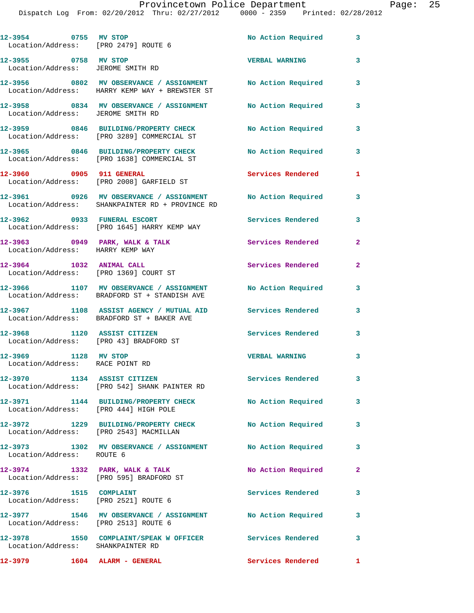| 12-3954 0755 MV STOP<br>Location/Address: [PRO 2479] ROUTE 6          |                                                                                                                | No Action Required 3      |                |
|-----------------------------------------------------------------------|----------------------------------------------------------------------------------------------------------------|---------------------------|----------------|
| 12-3955 0758 MV STOP<br>Location/Address: JEROME SMITH RD             |                                                                                                                | <b>VERBAL WARNING</b>     | 3              |
|                                                                       | 12-3956 6 0802 MV OBSERVANCE / ASSIGNMENT No Action Required<br>Location/Address: HARRY KEMP WAY + BREWSTER ST |                           | 3              |
|                                                                       | 12-3958 0834 MV OBSERVANCE / ASSIGNMENT No Action Required<br>Location/Address: JEROME SMITH RD                |                           | 3              |
|                                                                       | 12-3959 0846 BUILDING/PROPERTY CHECK<br>Location/Address: [PRO 3289] COMMERCIAL ST                             | <b>No Action Required</b> | 3              |
|                                                                       | 12-3965 0846 BUILDING/PROPERTY CHECK<br>Location/Address: [PRO 1638] COMMERCIAL ST                             | No Action Required        | 3              |
| 12-3960 0905 911 GENERAL                                              | Location/Address: [PRO 2008] GARFIELD ST                                                                       | <b>Services Rendered</b>  | 1              |
|                                                                       | 12-3961 0926 MV OBSERVANCE / ASSIGNMENT No Action Required<br>Location/Address: SHANKPAINTER RD + PROVINCE RD  |                           | 3              |
|                                                                       | 12-3962 0933 FUNERAL ESCORT<br>Location/Address: [PRO 1645] HARRY KEMP WAY                                     | <b>Services Rendered</b>  | 3              |
| 12-3963 0949 PARK, WALK & TALK<br>Location/Address: HARRY KEMP WAY    |                                                                                                                | Services Rendered         | $\overline{2}$ |
| 12-3964 1032 ANIMAL CALL<br>Location/Address: [PRO 1369] COURT ST     |                                                                                                                | Services Rendered         | $\overline{2}$ |
|                                                                       | 12-3966 1107 MV OBSERVANCE / ASSIGNMENT No Action Required<br>Location/Address: BRADFORD ST + STANDISH AVE     |                           | 3              |
|                                                                       | 12-3967 1108 ASSIST AGENCY / MUTUAL AID Services Rendered<br>Location/Address: BRADFORD ST + BAKER AVE         |                           | 3              |
| 12-3968 1120 ASSIST CITIZEN<br>Location/Address: [PRO 43] BRADFORD ST |                                                                                                                | Services Rendered         | 3              |
| 12-3969 1128 MV STOP<br>Location/Address: RACE POINT RD               |                                                                                                                | <b>VERBAL WARNING</b>     | 3              |
| 12-3970 1134 ASSIST CITIZEN                                           | Location/Address: [PRO 542] SHANK PAINTER RD                                                                   | Services Rendered         | 3              |
| Location/Address: [PRO 444] HIGH POLE                                 | 12-3971 1144 BUILDING/PROPERTY CHECK                                                                           | No Action Required        | 3              |
| Location/Address: [PRO 2543] MACMILLAN                                | 12-3972 1229 BUILDING/PROPERTY CHECK                                                                           | No Action Required        | 3              |
| Location/Address: ROUTE 6                                             | 12-3973 1302 MV OBSERVANCE / ASSIGNMENT No Action Required                                                     |                           | 3              |
|                                                                       | 12-3974 1332 PARK, WALK & TALK<br>Location/Address: [PRO 595] BRADFORD ST                                      | No Action Required        | $\mathbf{2}$   |
| 12-3976 1515 COMPLAINT<br>Location/Address: [PRO 2521] ROUTE 6        |                                                                                                                | Services Rendered         | 3              |
| Location/Address: [PRO 2513] ROUTE 6                                  | 12-3977 1546 MV OBSERVANCE / ASSIGNMENT No Action Required                                                     |                           | 3              |
| Location/Address: SHANKPAINTER RD                                     | 12-3978 1550 COMPLAINT/SPEAK W OFFICER Services Rendered                                                       |                           | 3              |
| 12-3979                                                               | 1604 ALARM - GENERAL                                                                                           | Services Rendered 1       |                |